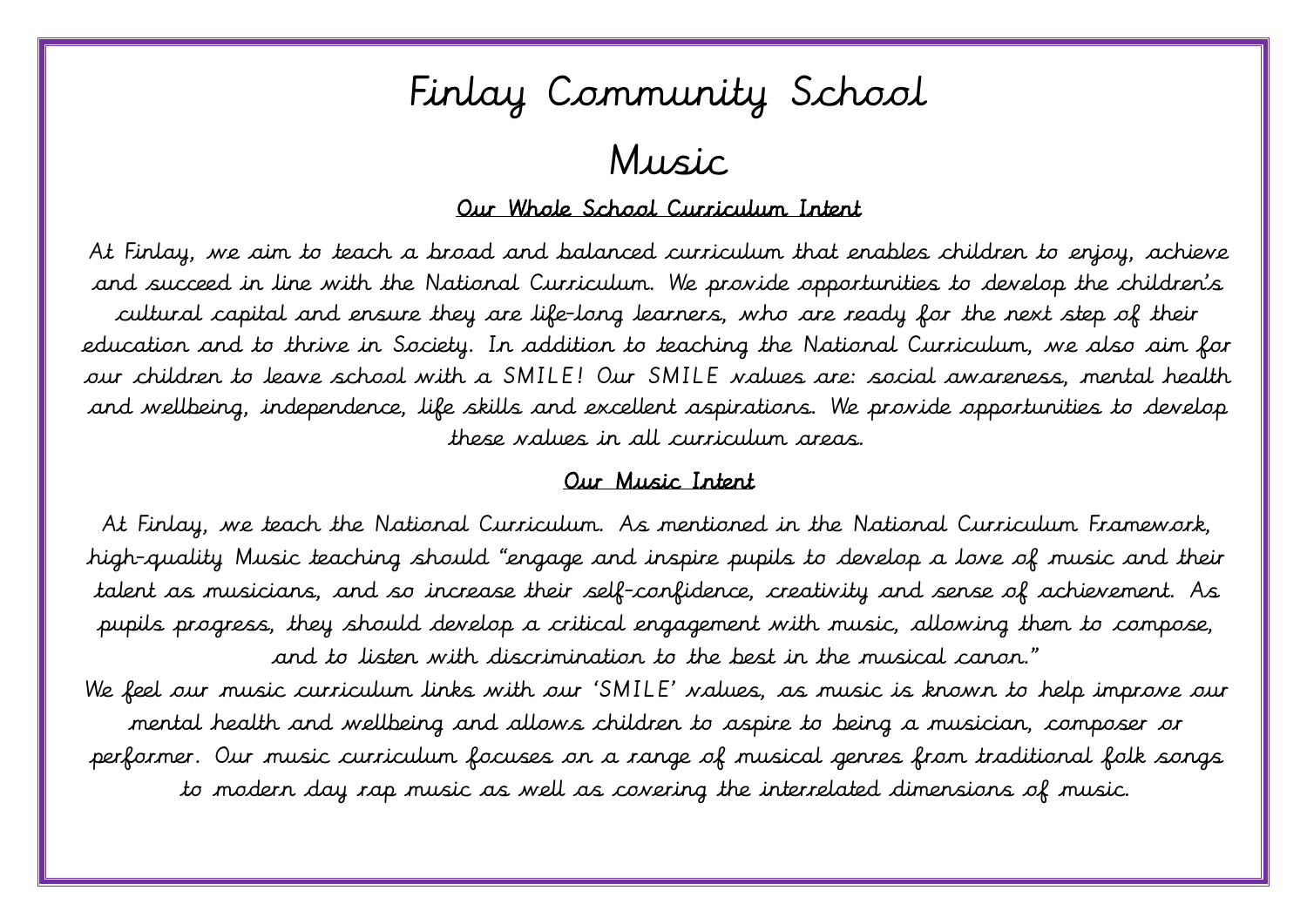# Finlay Community School

#### Music

#### Our Whole School Curriculum Intent

 At Finlay, we aim to teach a broad and balanced curriculum that enables children to enjoy, achieve and succeed in line with the National Curriculum. We provide opportunities to develop the children's cultural capital and ensure they are life-long learners, who are ready for the next step of their education and to thrive in Society. In addition to teaching the National Curriculum, we also aim for our children to leave school with a SMILE! Our SMILE values are: social awareness, mental health and wellbeing, independence, life skills and excellent aspirations. We provide opportunities to develop these values in all curriculum areas.

#### l. Our Music Intent

 At Finlay, we teach the National Curriculum. As mentioned in the National Curriculum Framework, high-quality Music teaching should "engage and inspire pupils to develop a love of music and their talent as musicians, and so increase their self-confidence, creativity and sense of achievement. As pupils progress, they should develop a critical engagement with music, allowing them to compose, and to listen with discrimination to the best in the musical canon."

 We feel our music curriculum links with our 'SMILE' values, as music is known to help improve our mental health and wellbeing and allows children to aspire to being a musician, composer or performer. Our music curriculum focuses on a range of musical genres from traditional folk songs  $\frac{1}{2}$ to modern day rap music as well as covering the interrelated dimensions of music.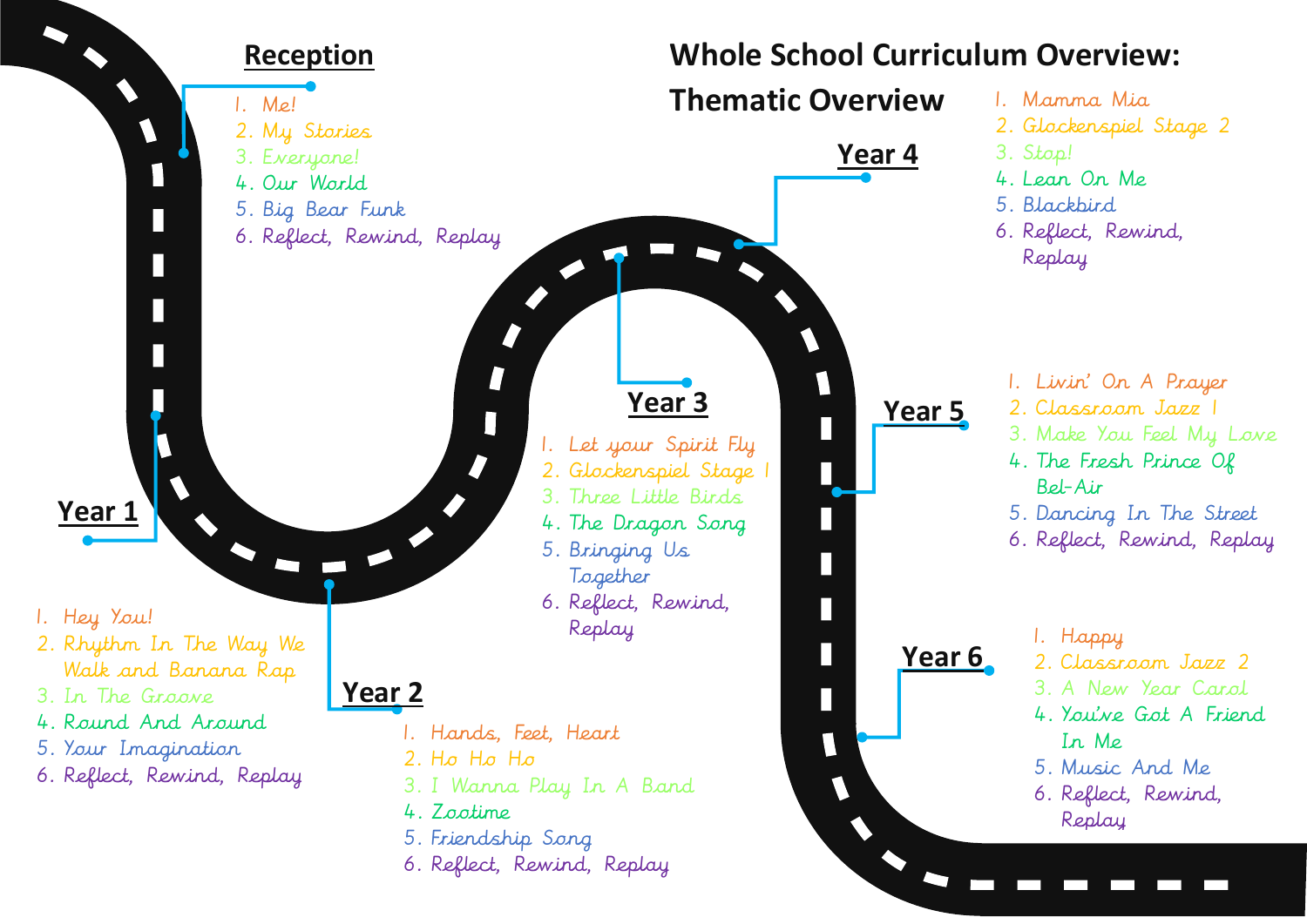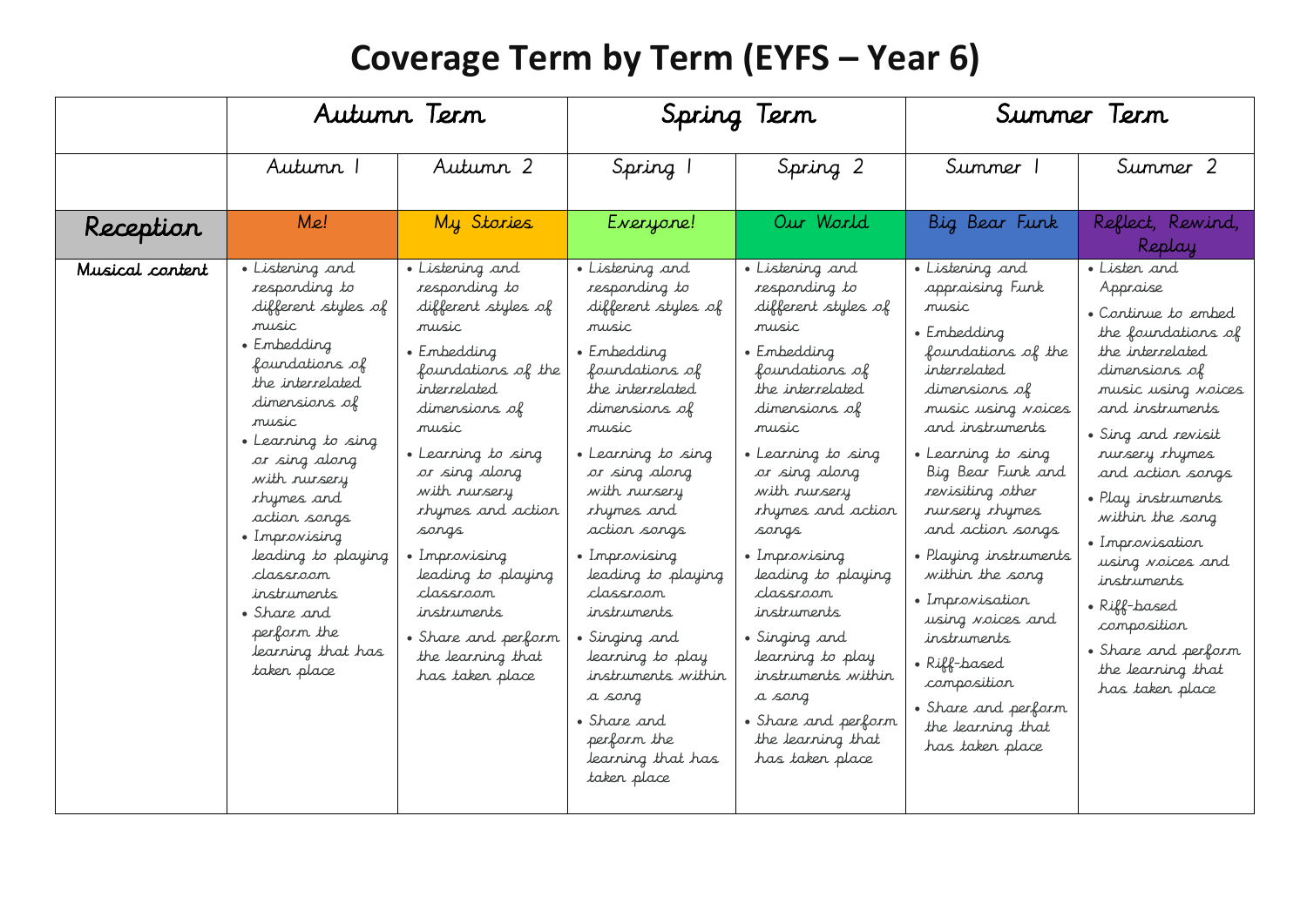## **Coverage Term by Term (EYFS – Year 6)**

|                 |                                                                                                                                                                                                                                                                                                                                                                                  | Autunn Tern                                                                                                                                                                                                                                                                                                                                                                   |                                                                                                                                                                                                                                                                                                                                                                                                                                                | Spring Term                                                                                                                                                                                                                                                                                                                                                                                                                                        |                                                                                                                                                                                                                                                                                                                                                                                                                                                                        | Summer Term                                                                                                                                                                                                                                                                                                                                                                                                                |
|-----------------|----------------------------------------------------------------------------------------------------------------------------------------------------------------------------------------------------------------------------------------------------------------------------------------------------------------------------------------------------------------------------------|-------------------------------------------------------------------------------------------------------------------------------------------------------------------------------------------------------------------------------------------------------------------------------------------------------------------------------------------------------------------------------|------------------------------------------------------------------------------------------------------------------------------------------------------------------------------------------------------------------------------------------------------------------------------------------------------------------------------------------------------------------------------------------------------------------------------------------------|----------------------------------------------------------------------------------------------------------------------------------------------------------------------------------------------------------------------------------------------------------------------------------------------------------------------------------------------------------------------------------------------------------------------------------------------------|------------------------------------------------------------------------------------------------------------------------------------------------------------------------------------------------------------------------------------------------------------------------------------------------------------------------------------------------------------------------------------------------------------------------------------------------------------------------|----------------------------------------------------------------------------------------------------------------------------------------------------------------------------------------------------------------------------------------------------------------------------------------------------------------------------------------------------------------------------------------------------------------------------|
|                 | Autumn T                                                                                                                                                                                                                                                                                                                                                                         | Autumn 2                                                                                                                                                                                                                                                                                                                                                                      | Spring 1                                                                                                                                                                                                                                                                                                                                                                                                                                       | Spring 2                                                                                                                                                                                                                                                                                                                                                                                                                                           | Summer 1                                                                                                                                                                                                                                                                                                                                                                                                                                                               | Summer 2                                                                                                                                                                                                                                                                                                                                                                                                                   |
| Reception       | Me!                                                                                                                                                                                                                                                                                                                                                                              | My Stories                                                                                                                                                                                                                                                                                                                                                                    | Everyone!                                                                                                                                                                                                                                                                                                                                                                                                                                      | Our World                                                                                                                                                                                                                                                                                                                                                                                                                                          | Big Bear Funk                                                                                                                                                                                                                                                                                                                                                                                                                                                          | Reflect, Rewind,<br>Replay                                                                                                                                                                                                                                                                                                                                                                                                 |
| Musical content | • Listening and<br>responding to<br>different styles of<br>music<br>• Embedding<br>foundations of<br>the interrelated<br>dimensions of<br>music<br>• Learning to sing<br>or sing along<br>with nursery<br><i>rhymes and</i><br>action songs<br>• Improvising<br>leading to playing<br>classroom<br>instruments<br>• Share and<br>perform the<br>learning that has<br>taken place | • Listening and<br>responding to<br>different styles of<br>music<br>• Embedding<br>foundations of the<br>interrelated<br>dimensions of<br>music<br>• Learning to sing<br>or sing along<br>with runsery<br><i>rhymes and action</i><br>sangs<br>• Improvising<br>leading to playing<br>classroom<br>instruments<br>• Share and perform<br>the learning that<br>has taken place | • Listening and<br>responding to<br>different styles of<br>music<br>• Embedding<br>foundations of<br>the interrelated<br>dimensions of<br>music<br>• Learning to sing<br>or sing along<br>with nursery<br>chymes and<br>action songs<br>• Improvising<br>leading to playing<br>classroom<br>instruments<br>• Singing and<br>learning to play<br>instruments within<br>a sang<br>• Share and<br>perform the<br>learning that has<br>taken place | • Listening and<br>responding to<br>different styles of<br>music<br>• Embedding<br>foundations of<br>the interrelated<br>dimensions of<br>music<br>• Learning to sing<br>or sing along<br>with runsery<br><i>rhymes and action</i><br>sangs<br>• Improvising<br>leading to playing<br>classroom<br>instruments<br>• Singing and<br>learning to play<br>instruments within<br>a sang<br>• Share and perform<br>the learning that<br>has taken place | • Listening and<br>appraising Funk<br>music<br>• Embedding<br>foundations of the<br>interrelated<br>dimensions of<br>music using <i>noices</i><br>and instruments<br>• Learning to sing<br>Big Bear Funk and<br>revisiting other<br>rursery rhymes<br>and action songs<br>• Playing instruments<br>within the song<br>• Improvisation<br>using voices and<br>instruments<br>• Riff-based<br>composition<br>• Share and perform<br>the learning that<br>has taken place | • Lister and<br>Appraise<br>• Continue to embed<br>the foundations of<br>the interrelated<br>dimensions of<br>music using <i>noices</i><br>and instruments<br>• Sing and revisit<br>nursery rhymes<br>and action songs<br>• Play instruments<br>within the song<br>• Improvisation<br>using <i>voices</i> and<br>instruments<br>• Riff-based<br>composition<br>• Share and perform<br>the learning that<br>has taken place |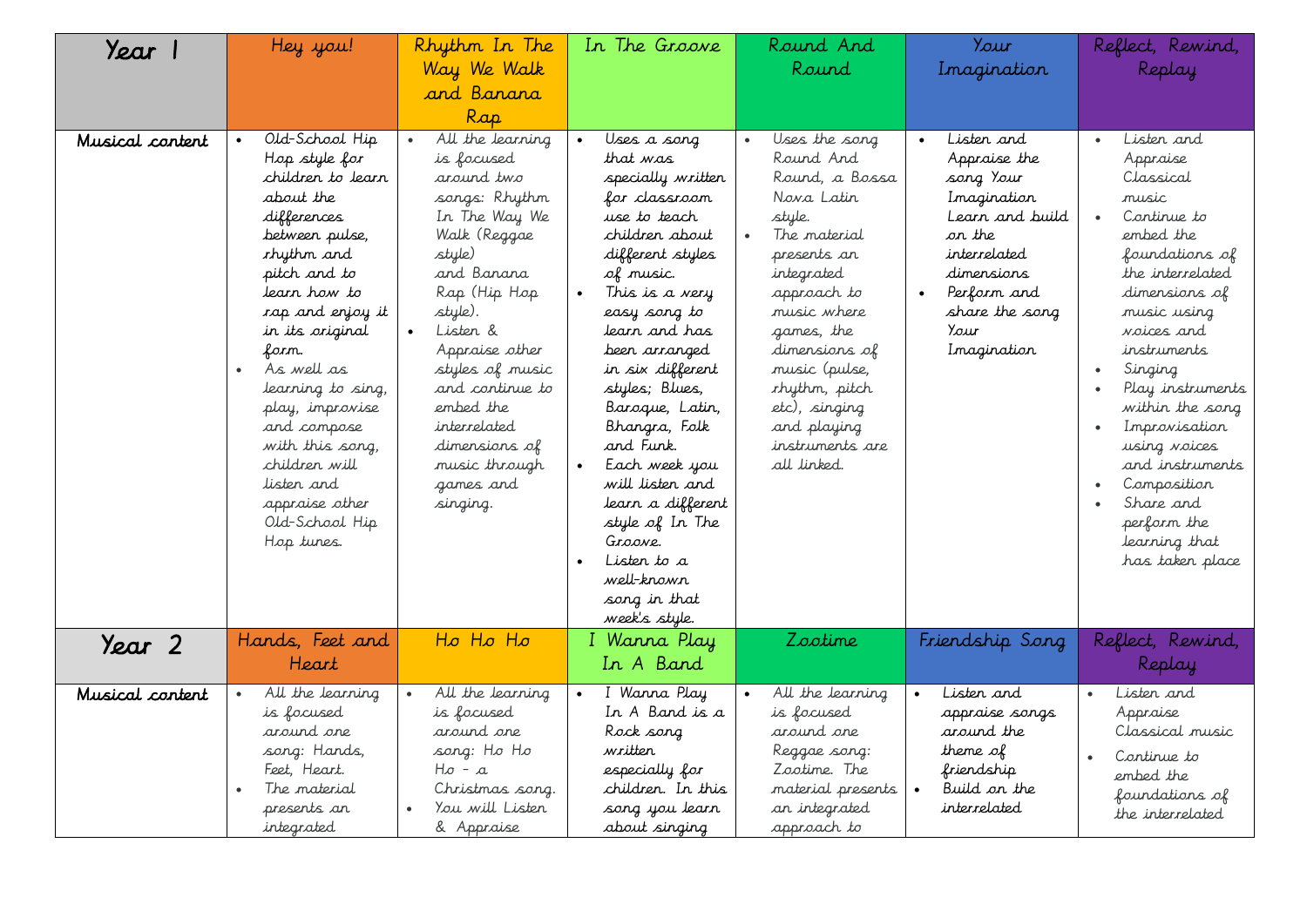| Year            | Hey you!                                                                                                                                                                                                                                                                                                                                                                         | Rhythm In The<br>Way We Walk<br>and Banana<br>Rap                                                                                                                                                                                                                                                                     | In The Groove                                                                                                                                                                                                                                                                                                                                                                                                                                    | Round And<br>Round                                                                                                                                                                                                                                                                 | Your<br>Inagination                                                                                                                                                                    | Reflect, Rewind,<br>Replay                                                                                                                                                                                                                                                                                                                                                           |
|-----------------|----------------------------------------------------------------------------------------------------------------------------------------------------------------------------------------------------------------------------------------------------------------------------------------------------------------------------------------------------------------------------------|-----------------------------------------------------------------------------------------------------------------------------------------------------------------------------------------------------------------------------------------------------------------------------------------------------------------------|--------------------------------------------------------------------------------------------------------------------------------------------------------------------------------------------------------------------------------------------------------------------------------------------------------------------------------------------------------------------------------------------------------------------------------------------------|------------------------------------------------------------------------------------------------------------------------------------------------------------------------------------------------------------------------------------------------------------------------------------|----------------------------------------------------------------------------------------------------------------------------------------------------------------------------------------|--------------------------------------------------------------------------------------------------------------------------------------------------------------------------------------------------------------------------------------------------------------------------------------------------------------------------------------------------------------------------------------|
| Musical content | Old-School Hip<br>Hop style for<br>children to learn<br>about the<br>differences<br>between pulse,<br><i>rhythm and</i><br>pitch and to<br>learr how to<br>rap and enjoy it<br>in its original<br>form.<br>As well as<br>learning to sing,<br>play, improvise<br>and compose<br>with this sang,<br>children will<br>listen and<br>appraise other<br>Old-School Hip<br>Hop tunes. | All the learning<br>is focused<br>around two<br>songs: Rhythm<br>In The Way We<br>Walk (Reggae<br>style)<br>and Banana<br>Rap (Hip Hop<br>style).<br>Listen &<br>Appraise <i>ot</i> her<br>styles of music<br>and continue to<br>embed the<br>interrelated<br>dimensions of<br>music through<br>games and<br>singing. | Uses a sang<br>that was<br>specially written<br>for classroom<br>use to teach<br>children about<br>different styles<br>of music.<br>This is a very<br>easy song to<br>learr and has<br>been arranged<br>in six different<br>styles; Blues,<br>Baroque, Latin,<br>Bhangra, Folk<br>and Funk.<br>Each week you<br>will listen and<br>learn a different<br>style of In The<br>Groove.<br>Listen to a<br>well-krowr<br>song in that<br>week's style. | Uses the song<br>Round And<br>Round, a Bossa<br>Nova Latin<br>style.<br>The material<br>presents an<br>integrated<br>approach to<br>music where<br>games, the<br>dimensions of<br>music (pulse,<br>rhythm, pitch<br>etc), singing<br>and playing<br>instruments are<br>all linked. | Listen and<br>Appraise the<br>song Your<br>Inagination<br>Learn and build<br>or the<br>interrelated<br>dimensions<br>Perform and<br>$\bullet$<br>share the song<br>Your<br>Inagination | Listen and<br>Appraise<br>Classical<br>music<br>Continue to<br>$\bullet$<br>embed the<br>foundations of<br>the interrelated<br>dimensions of<br>music using<br><i>voices</i> and<br>instruments<br>Singing<br>Play instruments<br>within the song<br>Improvisation<br>using voices<br>and instruments<br>Composition<br>Share and<br>perform the<br>learning that<br>has taken place |
| Year 2          | Hands, Feet and<br>Heart                                                                                                                                                                                                                                                                                                                                                         | $Ho$ $Ho$ $Ho$                                                                                                                                                                                                                                                                                                        | I Wanna Play<br>In A Band                                                                                                                                                                                                                                                                                                                                                                                                                        | Zootime                                                                                                                                                                                                                                                                            | Friendship Song                                                                                                                                                                        | Reflect, Rewind,<br>Replay                                                                                                                                                                                                                                                                                                                                                           |
| Musical content | All the learning<br>is focused<br>around one<br>song: Hands,<br>Feet, Heart.<br>The material<br>presents an<br>integrated                                                                                                                                                                                                                                                        | All the learning<br>$\bullet$<br>is focused<br>around one<br>song: Ho Ho<br>Ho - a<br>Christmas sang.<br>You will Listen<br>& Appraise                                                                                                                                                                                | Wanna Play<br>Ir A Band is a<br>Rock song<br>written<br>especially for<br>children. In this<br>song you learn<br>about singing                                                                                                                                                                                                                                                                                                                   | All the learning<br>is focused<br>around one<br>Reggae song:<br>Zootime. The<br>material presents<br>an integrated<br>approach to                                                                                                                                                  | Lister and<br>appraise songs<br>around the<br>theme of<br>friendship<br>Build on the<br>interrelated                                                                                   | Listen and<br>$\bullet$<br>Appraise<br>Classical music<br>Continue to<br>embed the<br>foundations of<br>the interrelated                                                                                                                                                                                                                                                             |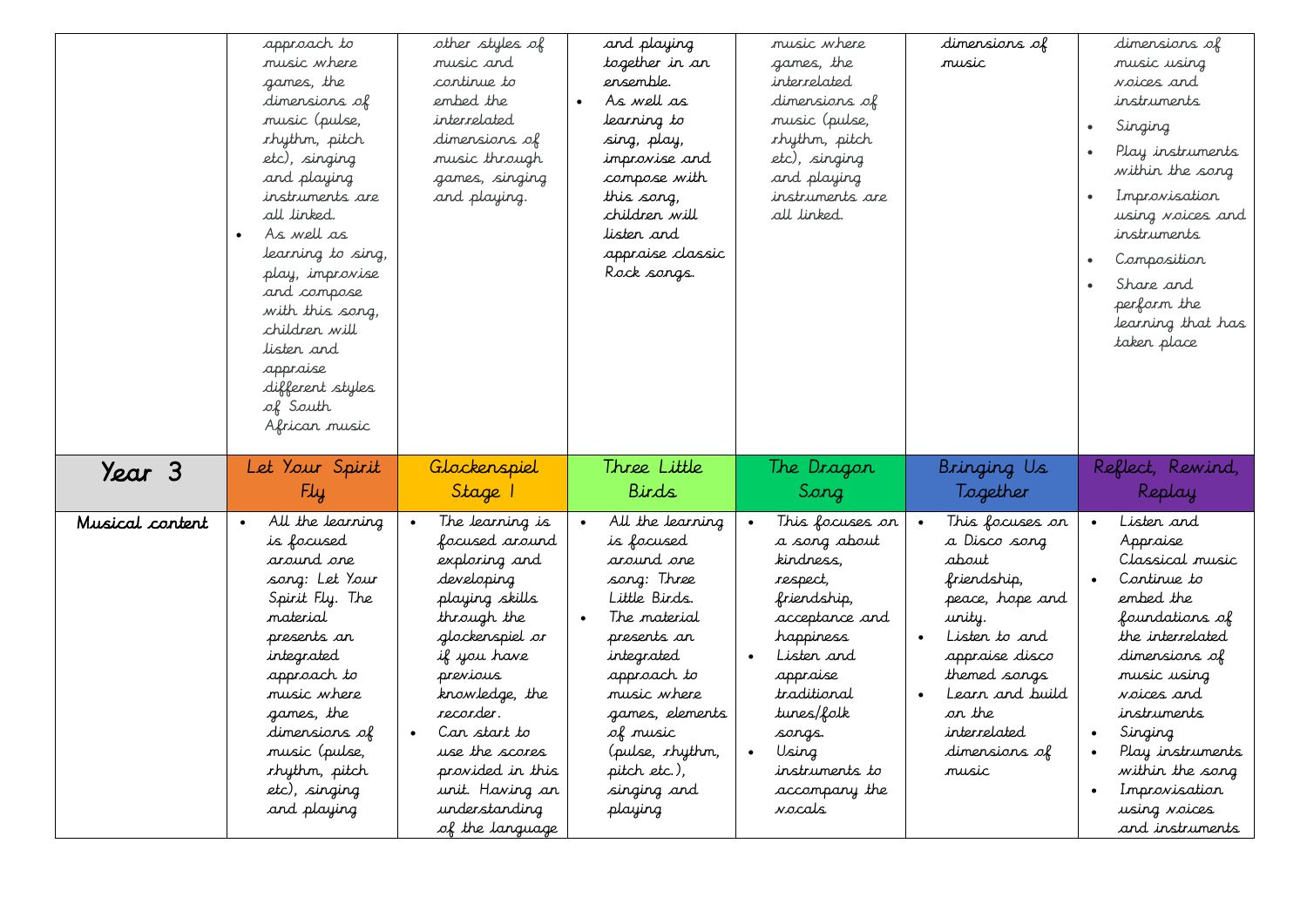|                 | approach to<br>music where<br>games, the<br>dimensions of<br>music (pulse,<br>rhythm, pitch<br>etc), singing<br>and playing<br>instruments are<br>all linked.<br>As well as<br>learning to sing,<br>play, improvise<br>and compose<br>with this sang,<br>children will<br>listen and<br>appraise<br>different styles<br>of South<br>African music | other styles of<br>music and<br>continue to<br>embed the<br>interrelated<br>dimensions of<br>music through<br>games, singing<br>and playing.                                                                                                                                                             | and playing<br>together in an<br>ensemble.<br>As well as<br>learning to<br>sing, play,<br>improvise and<br>compose with<br>this song,<br>children will<br>listen and<br>appraise classic<br>Rock songs.                                             | music where<br>games, the<br>interrelated<br>dimensions of<br>music (pulse,<br>rhythm, pitch<br>etc), singing<br>and playing<br>instruments are<br>all lirked.                                                                | dimensions of<br>music                                                                                                                                                                                         | dimensions of<br>music using<br>voices and<br>instruments.<br>Singing<br>$\bullet$<br>Play instruments<br>within the song<br>Improvisation<br>using voices and<br>instruments<br>Composition<br>Share and<br>perform the<br>learning that has<br>taken place                           |
|-----------------|---------------------------------------------------------------------------------------------------------------------------------------------------------------------------------------------------------------------------------------------------------------------------------------------------------------------------------------------------|----------------------------------------------------------------------------------------------------------------------------------------------------------------------------------------------------------------------------------------------------------------------------------------------------------|-----------------------------------------------------------------------------------------------------------------------------------------------------------------------------------------------------------------------------------------------------|-------------------------------------------------------------------------------------------------------------------------------------------------------------------------------------------------------------------------------|----------------------------------------------------------------------------------------------------------------------------------------------------------------------------------------------------------------|----------------------------------------------------------------------------------------------------------------------------------------------------------------------------------------------------------------------------------------------------------------------------------------|
| Year 3          | Let Your Spirit<br>Fly                                                                                                                                                                                                                                                                                                                            | Glockenspiel<br>Stage                                                                                                                                                                                                                                                                                    | Three Little<br>Birds                                                                                                                                                                                                                               | The Dragon<br>Sang                                                                                                                                                                                                            | Bringing Us<br>Together                                                                                                                                                                                        | Reflect, Rewind,<br>Replay                                                                                                                                                                                                                                                             |
| Musical content | All the learning<br>is focused<br>around one<br>song: Let Your<br>Spirit Fly. The<br>material<br>presents an<br>integrated<br>approach to<br>music where<br>games, the<br>dimensions of<br>music (pulse,<br>rhythm, pitch<br>etc), singing<br>and playing                                                                                         | The learning is<br>focused around<br>exploring and<br>developing<br>playing skills<br>through the<br>glockenspiel or<br>if you have<br>previous<br>krowledge, the<br>recorder.<br>Can start to<br>$\bullet$<br>use the scores<br>provided in this<br>unit. Having an<br>understanding<br>of the language | All the learning<br>is focused<br>around one<br>song: Three<br>Little Birds.<br>The material<br>presents an<br>integrated<br>approach to<br>music where<br>games, elements<br>of music<br>(pulse, rhythm,<br>pitch etc.),<br>singing and<br>playing | This focuses on<br>a song about<br>kindness,<br>respect,<br>friendship,<br>acceptance and<br>happiness<br>Listen and<br>appraise<br>traditional<br>tunes/folk<br>sangs.<br>Using<br>instruments to<br>accompany the<br>vocals | This focuses on<br>a Disco song<br>about<br>friendship,<br>peace, hope and<br>unity.<br>Listen to and<br>appraise disco<br>themed sangs<br>Learr and build<br>or the<br>interrelated<br>dimensions of<br>music | Listen and<br>Appraise<br>Classical music<br>Continue to<br>embed the<br>foundations of<br>the interrelated<br>dimensions of<br>music using<br><i>vo</i> ices and<br>instruments<br>Singing<br>Play instruments<br>within the song<br>Improvisation<br>using voices<br>and instruments |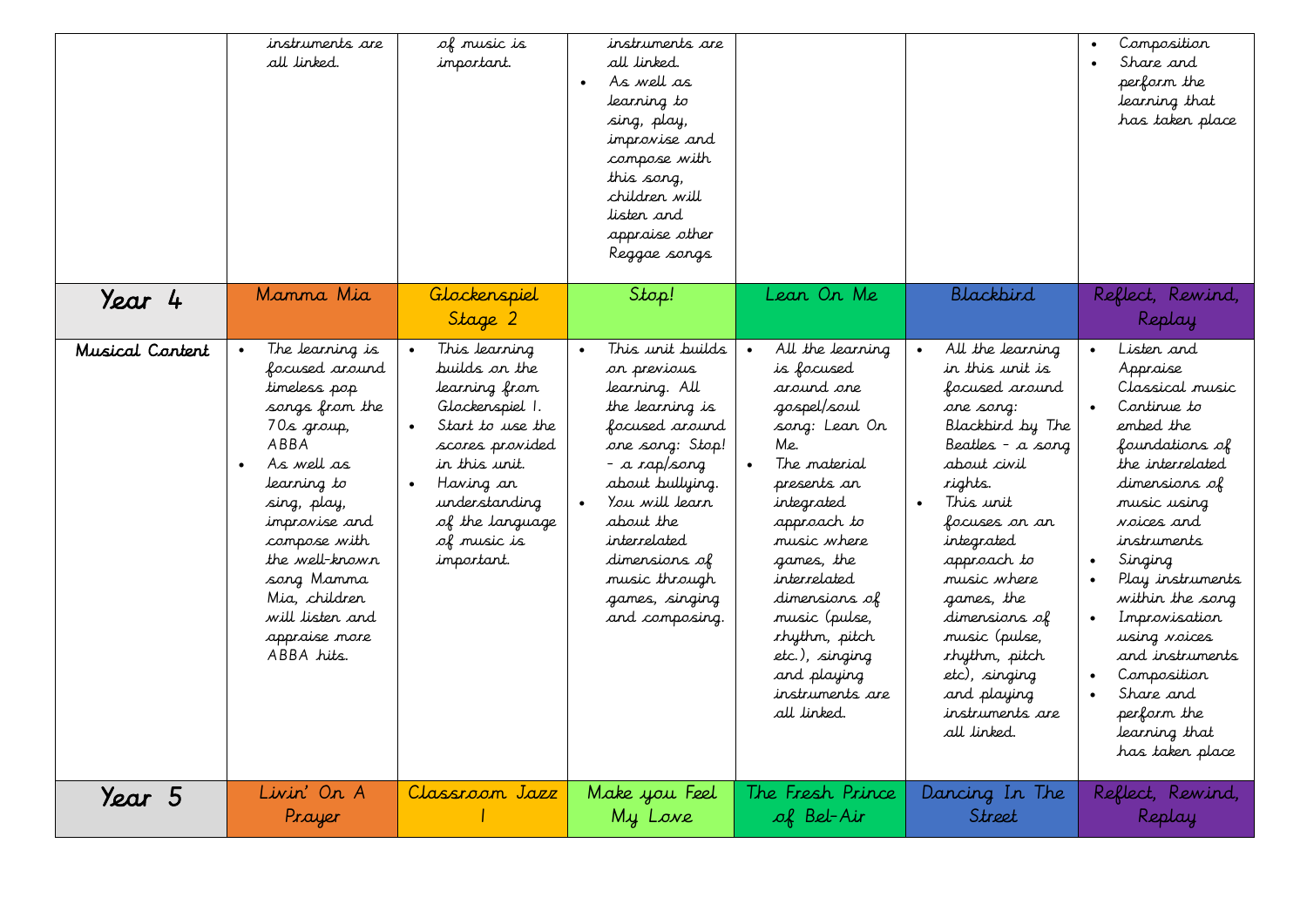|                 | instruments are<br>all linked.                                                                                                                                                                                                                                            | of music is<br>important.                                                                                                                                                                                | instruments are<br>all lirked.<br>As well as<br>learning to<br>sing, play,<br>improvise and<br>compose with<br>this sang,<br>children will<br>listen and<br>appraise other<br>Reggae songs                                                                       |                                                                                                                                                                                                                                                                                                                    |                                                                                                                                                                                                                                                                                                                                                                | Composition<br>Share and<br>perform the<br>learning that<br>has taken place                                                                                                                                                                                                                                                                                           |
|-----------------|---------------------------------------------------------------------------------------------------------------------------------------------------------------------------------------------------------------------------------------------------------------------------|----------------------------------------------------------------------------------------------------------------------------------------------------------------------------------------------------------|------------------------------------------------------------------------------------------------------------------------------------------------------------------------------------------------------------------------------------------------------------------|--------------------------------------------------------------------------------------------------------------------------------------------------------------------------------------------------------------------------------------------------------------------------------------------------------------------|----------------------------------------------------------------------------------------------------------------------------------------------------------------------------------------------------------------------------------------------------------------------------------------------------------------------------------------------------------------|-----------------------------------------------------------------------------------------------------------------------------------------------------------------------------------------------------------------------------------------------------------------------------------------------------------------------------------------------------------------------|
| Year 4          | Mamma Mia                                                                                                                                                                                                                                                                 | Glockenspiel<br>Stage 2                                                                                                                                                                                  | Stop!                                                                                                                                                                                                                                                            | Lean Or Me                                                                                                                                                                                                                                                                                                         | Blackbird                                                                                                                                                                                                                                                                                                                                                      | Reflect, Rewind,<br>Replay                                                                                                                                                                                                                                                                                                                                            |
| Musical Cartert | The learning is<br>focused around<br>timeless pop<br>songs from the<br>70s group,<br>ABBA<br>As well as<br>learning to<br>sing, play,<br>improvise and<br>compose with<br>the well-krown<br>song Mamma<br>Mia, children<br>will listen and<br>appraise more<br>ABBA hits. | This learning<br>builds on the<br>learning from<br>Glockenspiel 1.<br>Start to use the<br>scores provided<br>in this unit.<br>Having an<br>understanding<br>of the language<br>of music is<br>important. | This unit builds<br>on previous<br>Jeanning. All<br>the learning is<br>focused around<br>one song: Stop!<br>- a rap/song<br>about bullying.<br>You will learn<br>about the<br>interrelated<br>dimensions of<br>music through<br>games, singing<br>and composing. | All the learning<br>is focused<br>around one<br>gospel/soul<br>song: Lean On<br>Me.<br>The material<br>presents an<br>integrated<br>approach to<br>music where<br>games, the<br>interrelated<br>dimensions of<br>music (pulse,<br>rhythm, pitch<br>etc.), singing<br>and playing<br>instruments are<br>all linked. | All the learning<br>$\bullet$<br>in this unit is<br>focused around<br>one song:<br>Blackbird by The<br>Beatles - a song<br>about civil<br>rights.<br>This unit<br>focuses ar ar<br>integrated<br>approach to<br>music where<br>games, the<br>dimensions of<br>music (pulse,<br>rhythm, pitch<br>etc), singing<br>and playing<br>instruments are<br>all lirked. | Listen and<br>Appraise<br>Classical music<br>Continue to<br>embed the<br>foundations of<br>the interrelated<br>dimensions of<br>music using<br><i>voices a</i> nd<br>instruments<br>Singing<br>Play instruments<br>within the song<br>Improvisation<br>using noices<br>and instruments<br>Composition<br>Share and<br>perform the<br>learning that<br>has taken place |
| Year 5          | Livin' On A<br>Prayer                                                                                                                                                                                                                                                     | Classroom Jazz                                                                                                                                                                                           | Make you Feel<br>My Love                                                                                                                                                                                                                                         | The Fresh Prince<br>of Bel-Air                                                                                                                                                                                                                                                                                     | Dancing In The<br>Street                                                                                                                                                                                                                                                                                                                                       | Reflect, Rewind,<br>Replay                                                                                                                                                                                                                                                                                                                                            |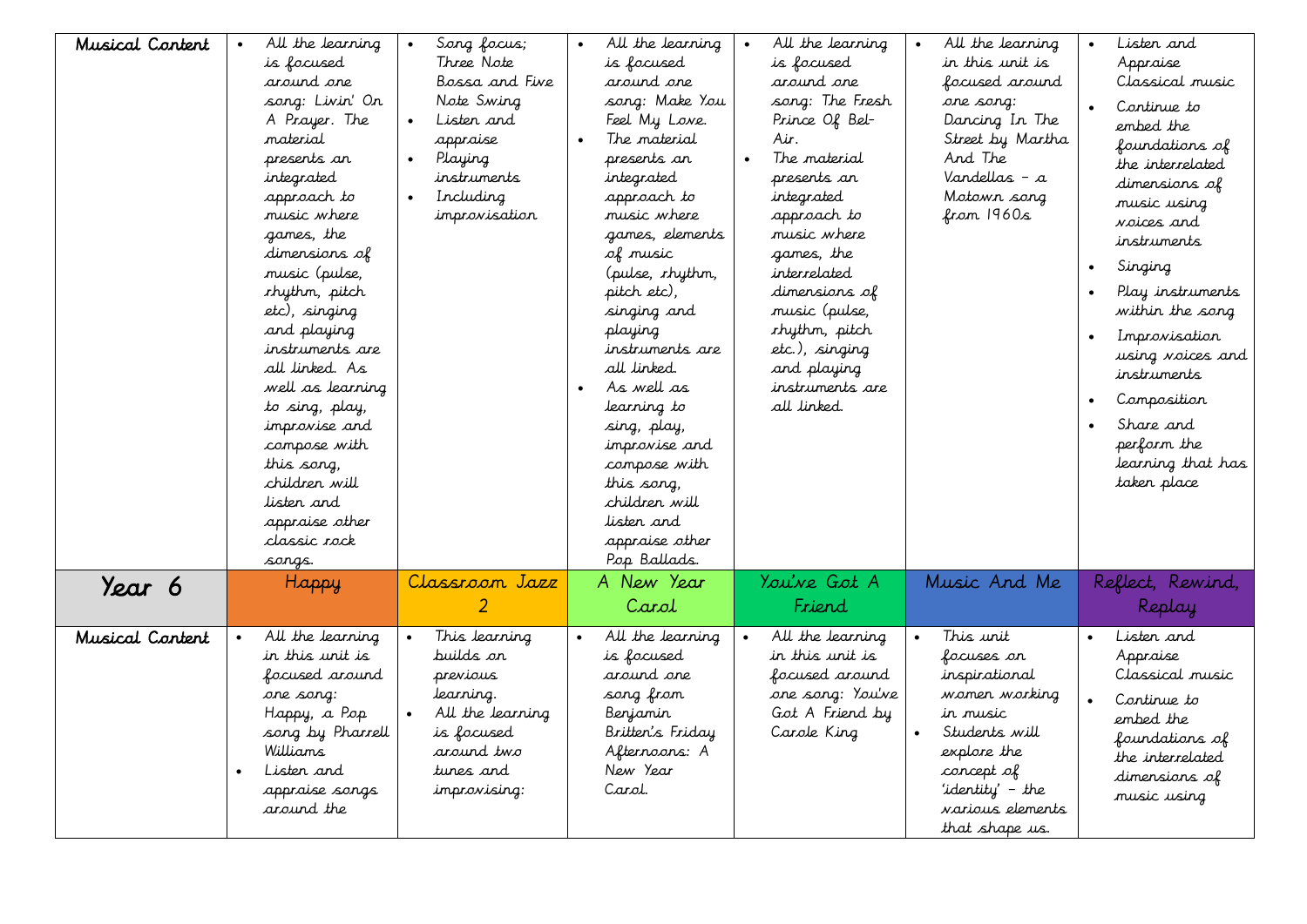| Musical Content | All the learning<br>is focused<br>around one<br>song: Livin' On<br>A Prayer. The<br>material<br>presents an<br>integrated<br>approach to<br>music where<br>games, the<br>dimensions of<br>music (pulse,<br><i>rhythm</i> , pitch<br>etc), singing<br>and playing<br>instruments are<br>all linked. As<br>well as learning<br>to sing, play,<br>improvise and<br>compose with<br>this sang,<br>children will<br>listen and<br>appraise other<br>classic rock<br>sangs. | Song focus;<br>Three Note<br>Bossa and Five<br>Note Swing<br>Listen and<br>appraise<br>Playing<br>instruments<br>Including<br>improvisation | All the learning<br>$\bullet$<br>is focused<br>around one<br>song: Make You<br>Feel My Lowe.<br>The material<br>presents an<br>integrated<br>approach to<br>music where<br>games, elements<br>of music<br>(pulse, rhythm,<br>pitch etc),<br>singing and<br>playing<br>instruments are<br>all lirked.<br>As well as<br>$\bullet$<br>learning to<br>sing, play,<br>improvise and<br>compose with<br>this song,<br>children will<br>listen and<br>appraise other<br>Pop Ballads. | All the learning<br>is focused<br>around one<br>song: The Fresh<br>Prince Of Bel-<br>Air.<br>The material<br>presents an<br>integrated<br>approach to<br>music where<br>games, the<br>interrelated<br>dimensions of<br>music (pulse,<br><i>rhythm</i> , pitch<br>etc.), singing<br>and playing<br>instruments are<br>all linked. | All the learning<br>in this unit is<br>focused around<br>one song:<br>Dancing In The<br>Street by Martha<br>And The<br>Vandellas – a<br>Motown song<br>from 1960s             | Listen and<br>$\bullet$<br>Appraise<br>Classical music<br>Continue to<br>embed the<br>foundations of<br>the interrelated<br>dimensions of<br>music using<br><i>voices a</i> nd<br>instruments<br>Singing<br>$\bullet$<br>Play instruments<br>$\bullet$<br>within the song<br>Improvisation<br>$\bullet$<br>using <i>noices</i> and<br>instruments<br>Composition<br>$\bullet$<br>Share and<br>perform the<br>learning that has<br>taken place |
|-----------------|-----------------------------------------------------------------------------------------------------------------------------------------------------------------------------------------------------------------------------------------------------------------------------------------------------------------------------------------------------------------------------------------------------------------------------------------------------------------------|---------------------------------------------------------------------------------------------------------------------------------------------|-------------------------------------------------------------------------------------------------------------------------------------------------------------------------------------------------------------------------------------------------------------------------------------------------------------------------------------------------------------------------------------------------------------------------------------------------------------------------------|----------------------------------------------------------------------------------------------------------------------------------------------------------------------------------------------------------------------------------------------------------------------------------------------------------------------------------|-------------------------------------------------------------------------------------------------------------------------------------------------------------------------------|-----------------------------------------------------------------------------------------------------------------------------------------------------------------------------------------------------------------------------------------------------------------------------------------------------------------------------------------------------------------------------------------------------------------------------------------------|
| Year 6          | Happy                                                                                                                                                                                                                                                                                                                                                                                                                                                                 | Classroom Jazz<br>$\overline{2}$                                                                                                            | A New Year<br>Carol                                                                                                                                                                                                                                                                                                                                                                                                                                                           | You've Got A<br>Friend                                                                                                                                                                                                                                                                                                           | Music And Me                                                                                                                                                                  | Reflect, Rewind,<br>Replay                                                                                                                                                                                                                                                                                                                                                                                                                    |
| Musical Content | All the learning<br>in this unit is<br>focused around<br>are sarg:<br>Happy, a Pop<br>song by Pharrell<br>Williams<br>Listen and<br>appraise songs<br>around the                                                                                                                                                                                                                                                                                                      | This learning<br>builds ar<br>previous<br>learning.<br>All the learning<br>is focused<br>around two<br>tunes and<br>improvising:            | All the learning<br>is focused<br>around one<br>sang fram<br>Benjamin<br>Britten's Friday<br>Afternoons: A<br>New Year<br>Carol.                                                                                                                                                                                                                                                                                                                                              | All the learning<br>in this unit is<br>focused around<br>one song: You've<br>Got A Friend by<br>Carole King                                                                                                                                                                                                                      | This unit<br>focuses on<br>inspirational<br>women working<br>in music<br>Students will<br>explore the<br>concept of<br>'identity' - the<br>various elements<br>that shape us. | Listen and<br>Appraise<br>Classical music<br>Continue to<br>$\bullet$<br>embed the<br>foundations of<br>the interrelated<br>dimensions of<br>music using                                                                                                                                                                                                                                                                                      |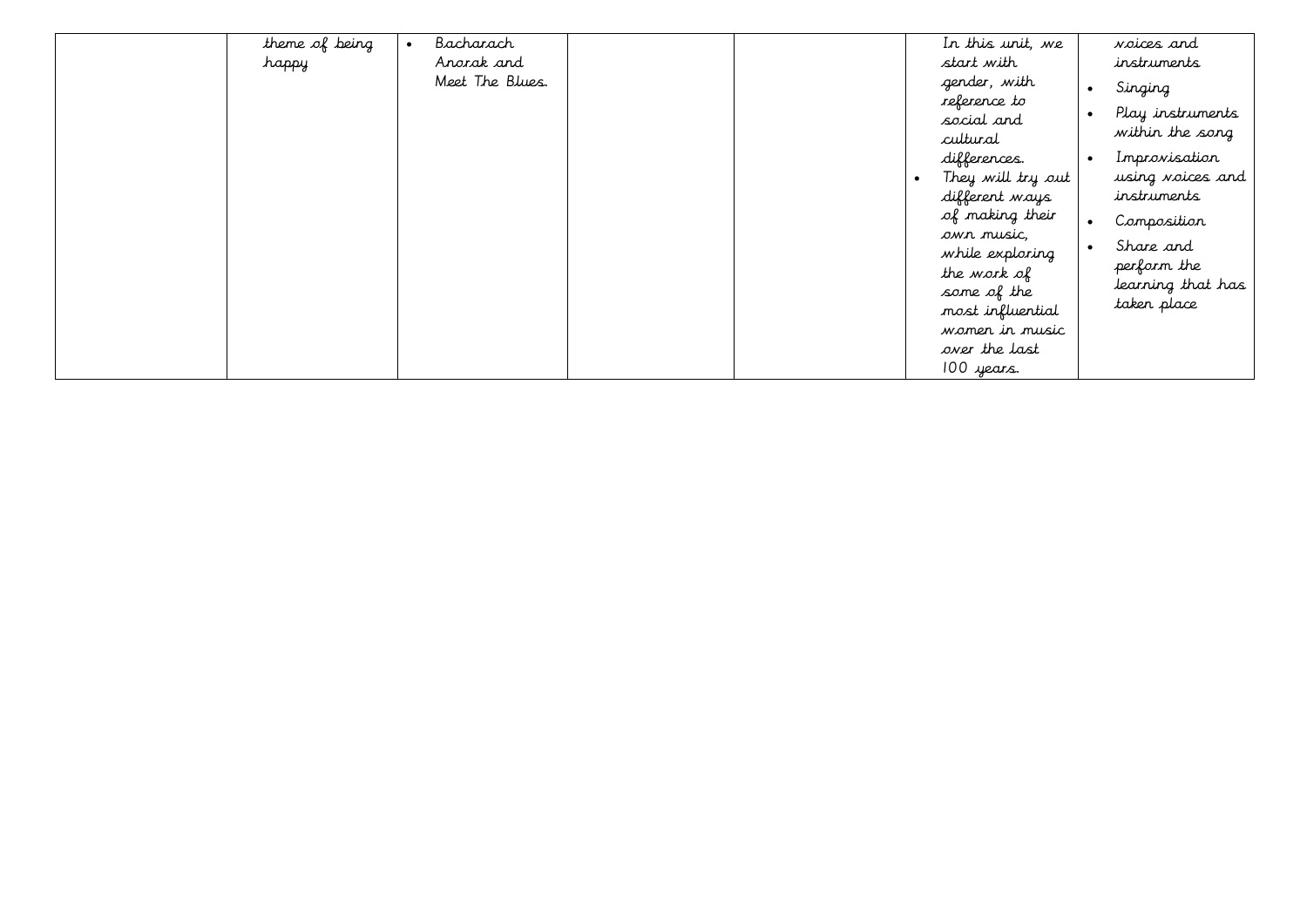| theme of being | Bacharach       |  | In this unit, we  | <i>voices</i> and             |
|----------------|-----------------|--|-------------------|-------------------------------|
| happy          | Anarak and      |  | start with        | instruments                   |
|                | Meet The Blues. |  | gender, with      | Singing<br>$\bullet$          |
|                |                 |  | reference to      |                               |
|                |                 |  | social and        | Play instruments<br>$\bullet$ |
|                |                 |  | cultural          | within the song               |
|                |                 |  | differences.      | Improvisation<br>$\bullet$    |
|                |                 |  | They will try out | using voices and              |
|                |                 |  | different ways    | instruments                   |
|                |                 |  | of making their   | Composition<br>$\bullet$      |
|                |                 |  | owr music,        | Share and                     |
|                |                 |  | while exploring   |                               |
|                |                 |  | the work of       | perform the                   |
|                |                 |  | some of the       | learning that has             |
|                |                 |  | most influential  | taken place                   |
|                |                 |  | women in music    |                               |
|                |                 |  | over the last     |                               |
|                |                 |  | 100 years.        |                               |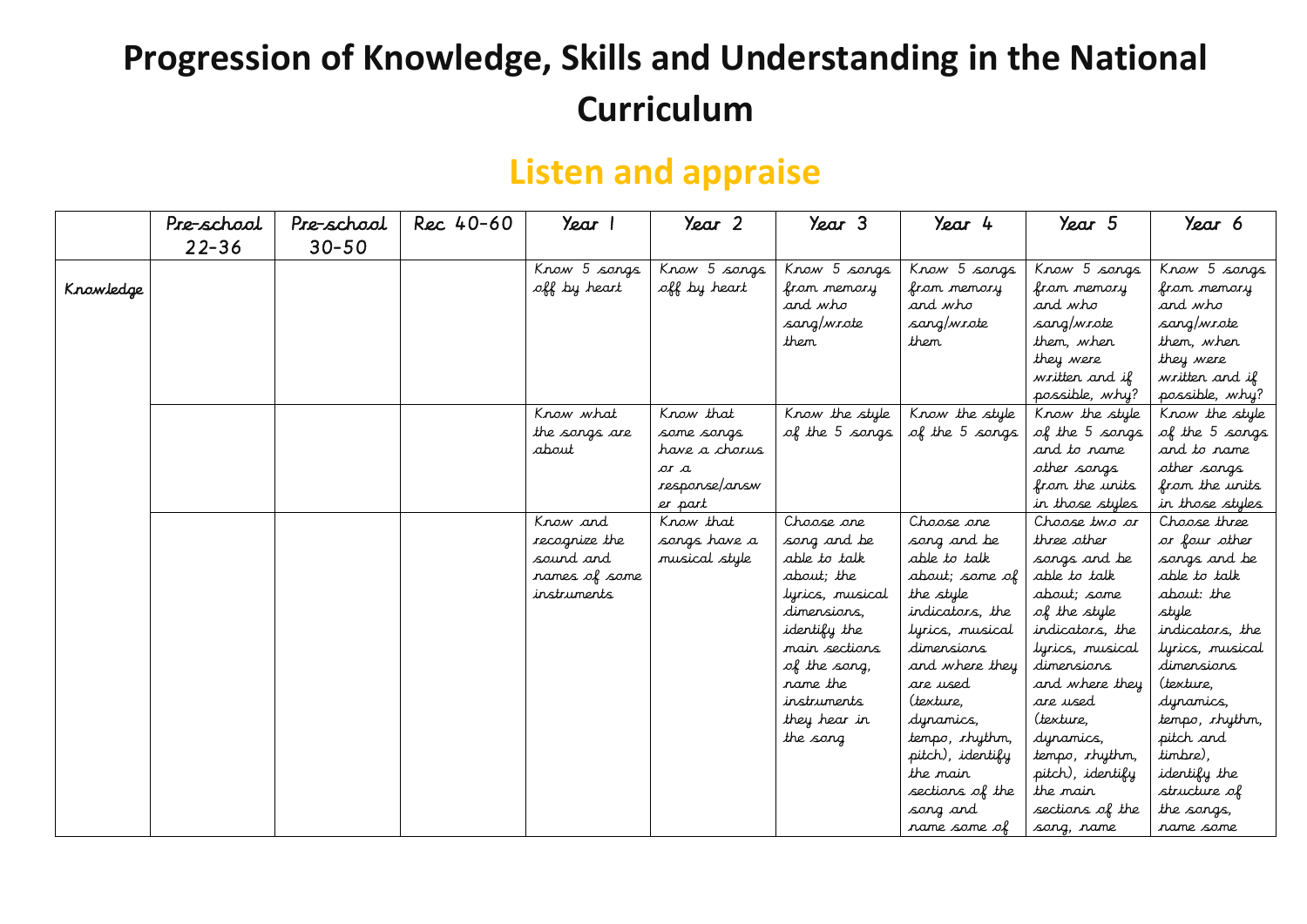#### **Listen and appraise**

|           | Pre-school<br>$22 - 36$ | Pre-school<br>$30 - 50$ | Rec 40-60 | Year 1                                                                 | Year 2                                                                       | Year 3                                                                                                                                                                                                   | Year 4                                                                                                                                                                                                                                                                                | Year 5                                                                                                                                                                                                                                                                                     | Year 6                                                                                                                                                                                                                                                                   |
|-----------|-------------------------|-------------------------|-----------|------------------------------------------------------------------------|------------------------------------------------------------------------------|----------------------------------------------------------------------------------------------------------------------------------------------------------------------------------------------------------|---------------------------------------------------------------------------------------------------------------------------------------------------------------------------------------------------------------------------------------------------------------------------------------|--------------------------------------------------------------------------------------------------------------------------------------------------------------------------------------------------------------------------------------------------------------------------------------------|--------------------------------------------------------------------------------------------------------------------------------------------------------------------------------------------------------------------------------------------------------------------------|
| Knowledge |                         |                         |           | Know 5 sangs<br>off by heart                                           | Know 5 songs<br>off by heart                                                 | Know 5 songs<br>from memory<br>and who<br>sang/wrote<br>them                                                                                                                                             | Know 5 songs<br>from memory<br>and who<br>sang/wrote<br>them                                                                                                                                                                                                                          | Know 5 songs<br>from memory<br>and who<br>sang/wrote<br>them, when<br>they were<br>written and if<br>possible, why?                                                                                                                                                                        | Know 5 songs<br>from memory<br>and who<br>sang/wrote<br>them, when<br>they were<br>written and if<br>possible, why?                                                                                                                                                      |
|           |                         |                         |           | Know what<br>the songs are<br>about                                    | Know that<br>some songs<br>have a chorus<br>or a<br>response/answ<br>er part | Know the style<br>of the 5 songs                                                                                                                                                                         | Know the style<br>of the 5 songs                                                                                                                                                                                                                                                      | Know the style<br>of the 5 songs<br>and to name<br>other songs<br>from the units<br>in those styles                                                                                                                                                                                        | Know the style<br>of the 5 songs<br>and to name<br>other songs<br>from the units<br>in those styles                                                                                                                                                                      |
|           |                         |                         |           | Know and<br>recognize the<br>saund and<br>rames of some<br>instruments | Know that<br>songs have a<br>musical style                                   | Choose one<br>song and be<br>able to talk<br>about; the<br>lyrics, musical<br>dimensions,<br><i>identify</i> the<br>main sections<br>of the song,<br>rame the<br>instruments<br>they hear in<br>the sang | Choose one<br>song and be<br>able to talk<br>about; some of<br>the style<br>indicators, the<br>lyrics, musical<br>dimensions<br>and where they<br>are used<br>(texture,<br>dynamics,<br>tempo, rhythm,<br>pitch), identify<br>the main<br>sections of the<br>sang and<br>rame some of | Choose two or<br>three other<br>songs and be<br>able to talk<br>about; some<br>of the style<br>indicators, the<br>lyrics, musical<br>dimensions<br>and where they<br>are used<br>(texture,<br>dynamics,<br>tempo, rhythm,<br>pitch), identify<br>the mair<br>sections of the<br>sang, rame | Choose three<br>or four other<br>songs and be<br>able to talk<br>about: the<br>style<br>indicators, the<br>tyrics, musical<br>dimensions<br>(texture.<br>dynamics,<br>tempo, rhythm,<br>pitch and<br>timbre),<br>identify the<br>structure of<br>the songs,<br>rame some |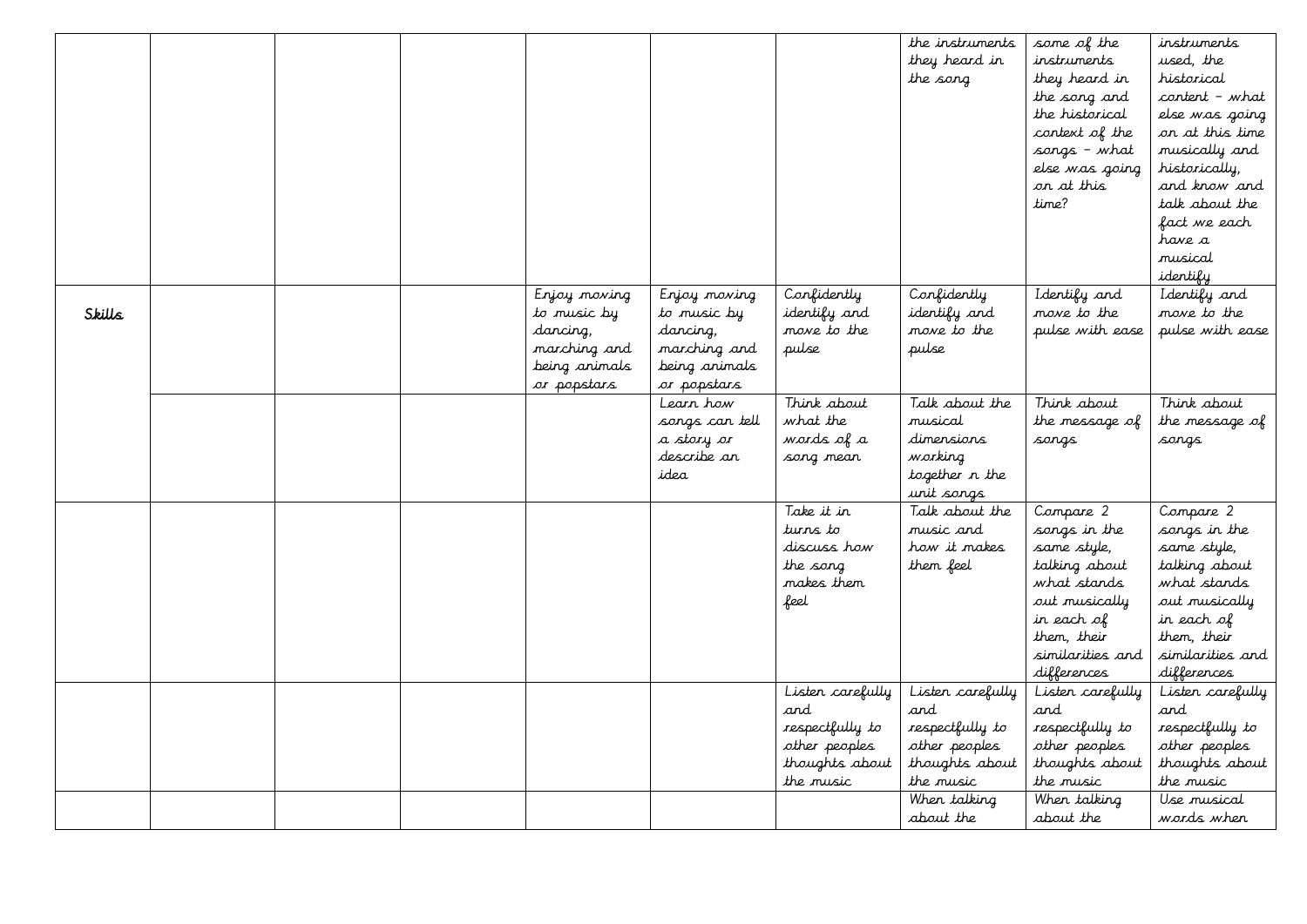|        |  |                                                                                         |                                                                                         |                                                                                            | the instruments<br>they heard in<br>the song                                                               | some of the<br>instruments<br>they heard in<br>the song and<br>the historical<br>context of the<br>songs – what<br>else was going<br>on at this<br>time?  | instruments<br>used, the<br>historical<br>content - what<br>else was going<br>on at this time<br>musically and<br>historically,<br>and know and<br>talk about the<br>fact we each<br>have a<br>musical<br>identify |
|--------|--|-----------------------------------------------------------------------------------------|-----------------------------------------------------------------------------------------|--------------------------------------------------------------------------------------------|------------------------------------------------------------------------------------------------------------|-----------------------------------------------------------------------------------------------------------------------------------------------------------|--------------------------------------------------------------------------------------------------------------------------------------------------------------------------------------------------------------------|
| Skills |  | Enjoy moving<br>to music by<br>dancing,<br>marching and<br>being animals<br>or popstars | Enjoy moving<br>to music by<br>dancing,<br>marching and<br>being animals<br>or popstars | Confidently<br><i>identify</i> and<br>move to the<br>pulse                                 | Confidently<br>identify and<br>move to the<br>pulse                                                        | I dentify and<br>move to the<br>pulse with ease                                                                                                           | I dentify and<br>move to the<br>pulse with ease                                                                                                                                                                    |
|        |  |                                                                                         | Learn how<br>sangs can tell<br>a story or<br>describe an<br>idea                        | Think about<br>what the<br>words of a<br>sang mean                                         | Talk about the<br>musical<br>dimensians<br>working<br>together <i>n</i> the<br>unit sangs                  | Think about<br>the message of<br>sangs                                                                                                                    | Think about<br>the message of<br>sangs                                                                                                                                                                             |
|        |  |                                                                                         |                                                                                         | Take it in<br>turns to<br>discuss how<br>the song<br>makes them<br>feel                    | Talk about the<br>music and<br>how it makes<br>them feel                                                   | Compare 2<br>songs in the<br>same style,<br>talking about<br>what stands<br>out musically<br>in each of<br>them, their<br>similarities and<br>differences | Compare 2<br>songs in the<br>same style,<br>talking about<br>what stands<br>aut musically<br>in each of<br>them, their<br>similarities and<br>differences                                                          |
|        |  |                                                                                         |                                                                                         | Listen carefully<br>and<br>respectfully to<br>other peoples<br>thoughts about<br>the music | Listen carefully<br>and<br>respectfully to<br>other peoples<br>thoughts about<br>the music<br>When talking | Listen carefully<br>and<br>respectfully to<br>other peoples<br>thoughts about<br>the music<br>When talking                                                | Listen carefully<br>and<br>respectfully to<br>other peoples<br>thoughts about<br>the music<br>Use musical                                                                                                          |
|        |  |                                                                                         |                                                                                         |                                                                                            | about the                                                                                                  | about the                                                                                                                                                 | wards when                                                                                                                                                                                                         |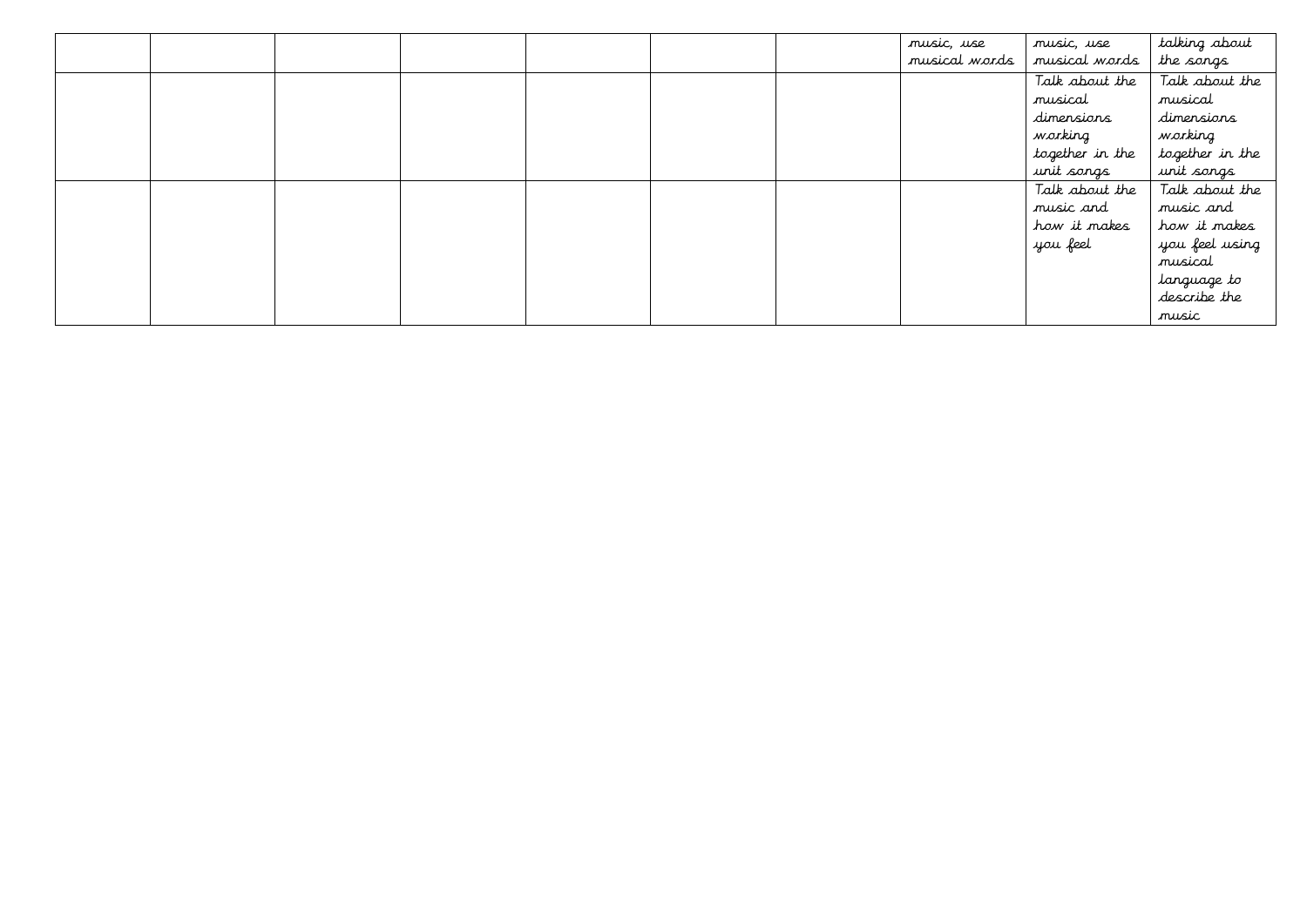|  |  |  | music, use    | music, use      | talking about   |
|--|--|--|---------------|-----------------|-----------------|
|  |  |  | musical words | musical words   | the songs       |
|  |  |  |               | Talk about the  | Talk about the  |
|  |  |  |               | musical         | musical         |
|  |  |  |               | dimensions      | dimensions      |
|  |  |  |               | working         | working         |
|  |  |  |               | together in the | together in the |
|  |  |  |               | unit songs      | unit songs      |
|  |  |  |               | Talk about the  | Talk about the  |
|  |  |  |               | music and       | music and       |
|  |  |  |               | how it makes    | how it makes    |
|  |  |  |               | you feel        | you feel using  |
|  |  |  |               |                 | musical         |
|  |  |  |               |                 | language to     |
|  |  |  |               |                 | describe the    |
|  |  |  |               |                 | music           |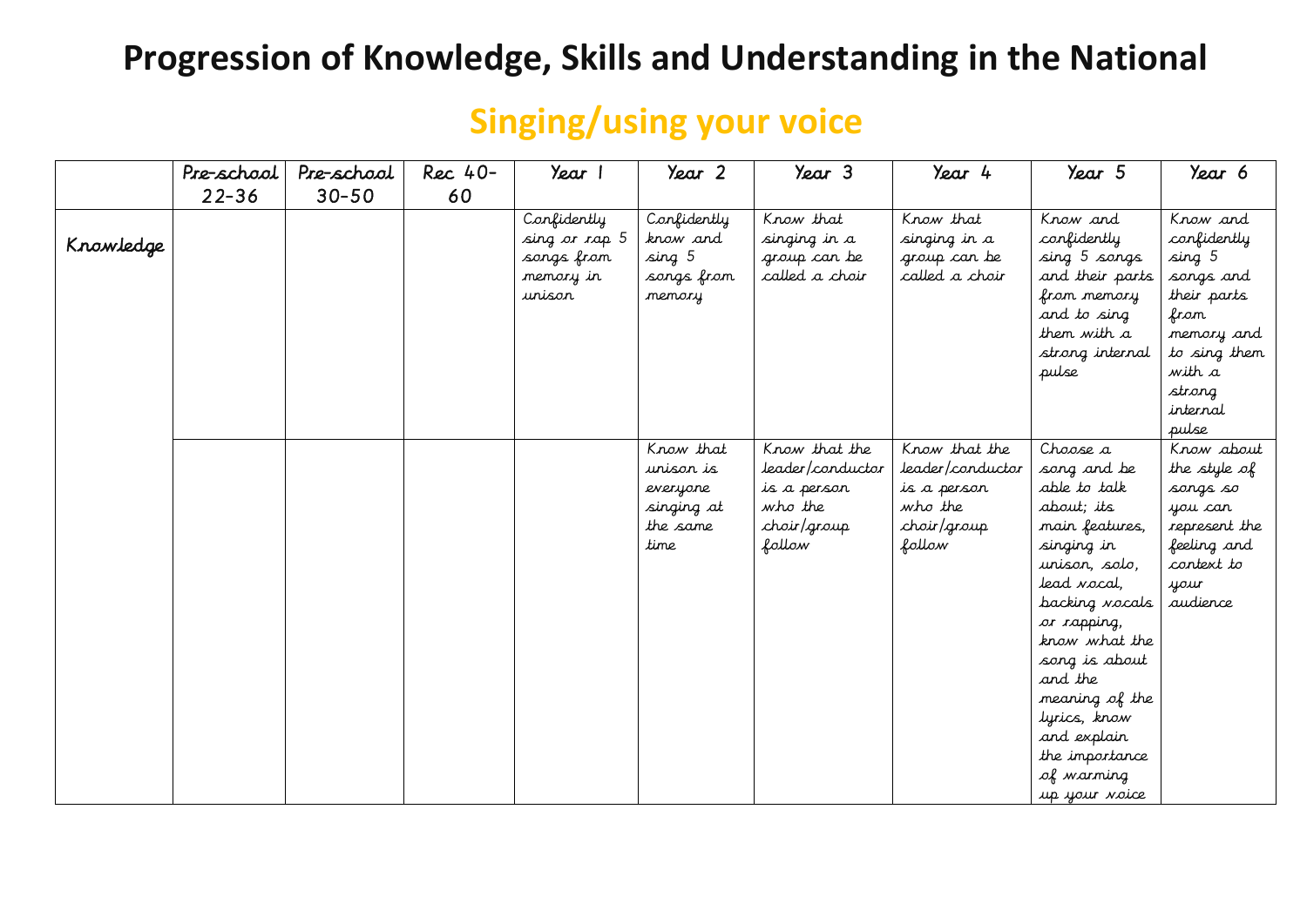## **Singing/using your voice**

|           | Pre-school | Pre-school | Rec 40- | Year 1                                                            | Year 2                                                               | Year 3                                                                               | Year 4                                                                               | Year 5                                                                                                                                                                                                                                                                                                       | Year 6                                                                                                                                       |
|-----------|------------|------------|---------|-------------------------------------------------------------------|----------------------------------------------------------------------|--------------------------------------------------------------------------------------|--------------------------------------------------------------------------------------|--------------------------------------------------------------------------------------------------------------------------------------------------------------------------------------------------------------------------------------------------------------------------------------------------------------|----------------------------------------------------------------------------------------------------------------------------------------------|
|           | $22 - 36$  | $30 - 50$  | 60      |                                                                   |                                                                      |                                                                                      |                                                                                      |                                                                                                                                                                                                                                                                                                              |                                                                                                                                              |
| Knowledge |            |            |         | Confidently<br>sing or rap 5<br>sargs fram<br>memory in<br>urison | Confidently<br>know and<br>sing 5<br>sangs fram<br>memory            | Know that<br>singing in a<br>group can be<br>called a choir                          | Know that<br>singing in a<br>group can be<br>called a choir                          | Know and<br>confidently<br>sing 5 sangs<br>and their parts<br>from memory<br>and to sing<br>them with a<br>strong internal<br>pulse                                                                                                                                                                          | Know and<br>confidently<br>sing 5<br>sangs and<br>their parts<br>fron<br>memory and<br>to sing them<br>with a<br>strong<br>internal<br>pulse |
|           |            |            |         |                                                                   | Know that<br>urison is<br>everyone<br>singing at<br>the same<br>time | Know that the<br>leader/conductor<br>is a person<br>who the<br>choir/group<br>follow | Know that the<br>leader/conductor<br>is a person<br>who the<br>choir/group<br>follow | Choose a<br>song and be<br>able to talk<br>about; its<br>main features,<br>singing in<br>unisan, salo,<br>lead vocal,<br>backing <i>nocals</i><br>or rapping,<br>know what the<br>song is about<br>and the<br>meaning of the<br>lyrics, know<br>and explain<br>the importance<br>of warming<br>up your voice | Know about<br>the style of<br>sangs so<br>you can<br>represent the<br>feeling and<br>context to<br>your<br>audience                          |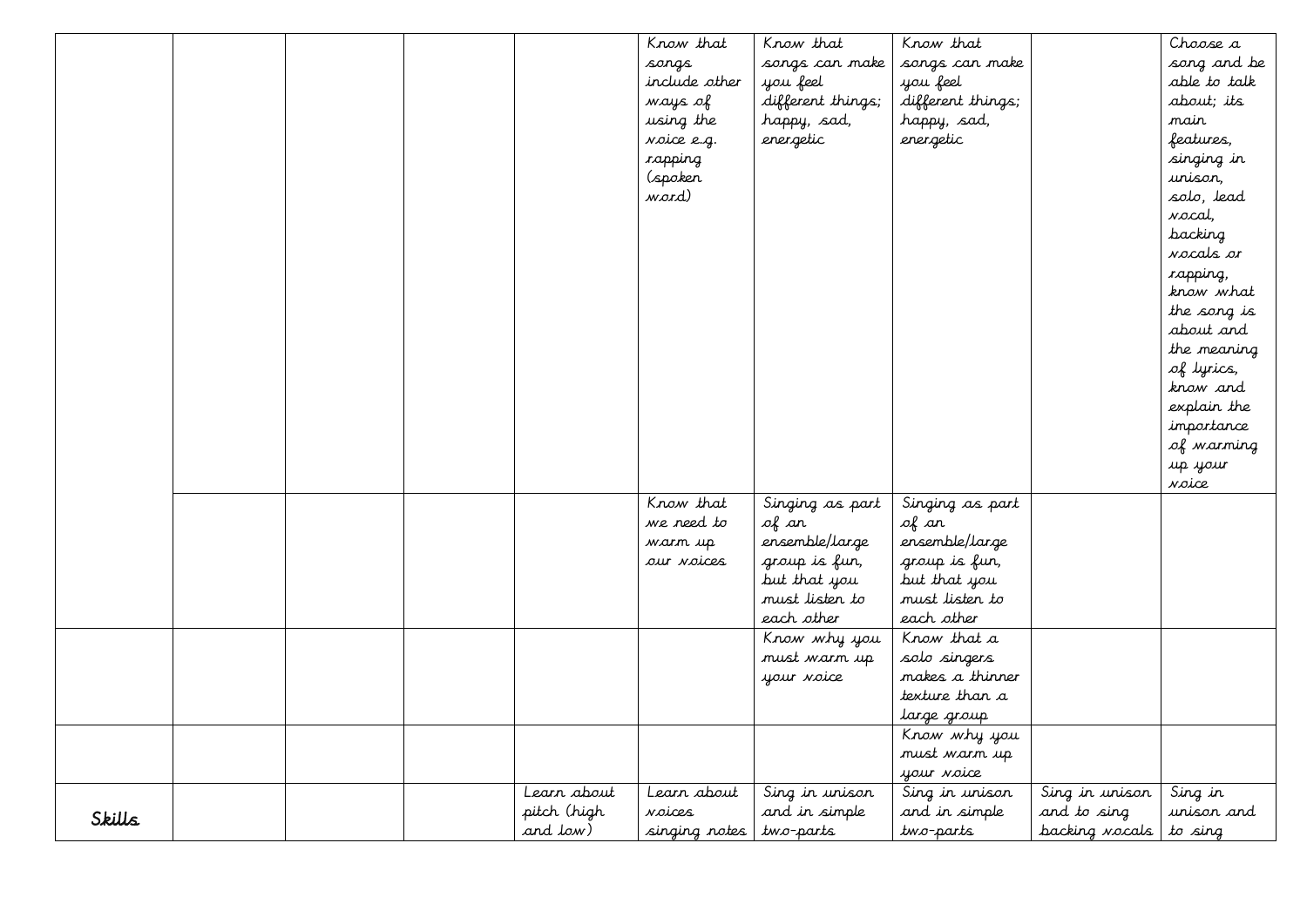|        |  |             | Know that     | Know that         | Know that         |                | Choose a         |
|--------|--|-------------|---------------|-------------------|-------------------|----------------|------------------|
|        |  |             | sangs         | songs can make    | songs can make    |                | song and be      |
|        |  |             | include other | you feel          | you feel          |                | able to talk     |
|        |  |             | ways of       | different things; | different things; |                | about; its       |
|        |  |             | using the     | happy, sad,       | happy, sad,       |                | nair             |
|        |  |             | Noice e.g.    | energetic         | energetic         |                | features,        |
|        |  |             | rapping       |                   |                   |                | singing in       |
|        |  |             | (spoken       |                   |                   |                | unisan,          |
|        |  |             | word)         |                   |                   |                | solo, lead       |
|        |  |             |               |                   |                   |                | vocal,           |
|        |  |             |               |                   |                   |                | backing          |
|        |  |             |               |                   |                   |                | vocals or        |
|        |  |             |               |                   |                   |                | rapping,         |
|        |  |             |               |                   |                   |                | know what        |
|        |  |             |               |                   |                   |                | the song is      |
|        |  |             |               |                   |                   |                | about and        |
|        |  |             |               |                   |                   |                | the meaning      |
|        |  |             |               |                   |                   |                | of lyrics,       |
|        |  |             |               |                   |                   |                | know and         |
|        |  |             |               |                   |                   |                | explain the      |
|        |  |             |               |                   |                   |                | importance       |
|        |  |             |               |                   |                   |                | of warming       |
|        |  |             |               |                   |                   |                |                  |
|        |  |             |               |                   |                   |                | up your<br>Noice |
|        |  |             | Know that     |                   |                   |                |                  |
|        |  |             |               | Singing as part   | Singing as part   |                |                  |
|        |  |             | we need to    | of an             | of an             |                |                  |
|        |  |             | warm up       | ensemble/large    | ensemble/large    |                |                  |
|        |  |             | our voices    | group is fun,     | group is fun,     |                |                  |
|        |  |             |               | but that you      | but that you      |                |                  |
|        |  |             |               | must listen to    | must listen to    |                |                  |
|        |  |             |               | each other        | each other        |                |                  |
|        |  |             |               | Know why you      | Know that a       |                |                  |
|        |  |             |               | must warm up      | solo singers      |                |                  |
|        |  |             |               | your voice        | makes a thinner   |                |                  |
|        |  |             |               |                   | texture than a    |                |                  |
|        |  |             |               |                   | large group       |                |                  |
|        |  |             |               |                   | Know why you      |                |                  |
|        |  |             |               |                   | must warm up      |                |                  |
|        |  |             |               |                   | your voice        |                |                  |
|        |  | Learn about | Learn about   | Sing in unison    | Sing in unison    | Sing in unison | Sing in          |
| Skills |  | pitch (high | <i>voices</i> | and in simple     | and in simple     | and to sing    | unison and       |
|        |  | and low)    | singing notes | two-parts         | two-parts         | backing vocals | to sing          |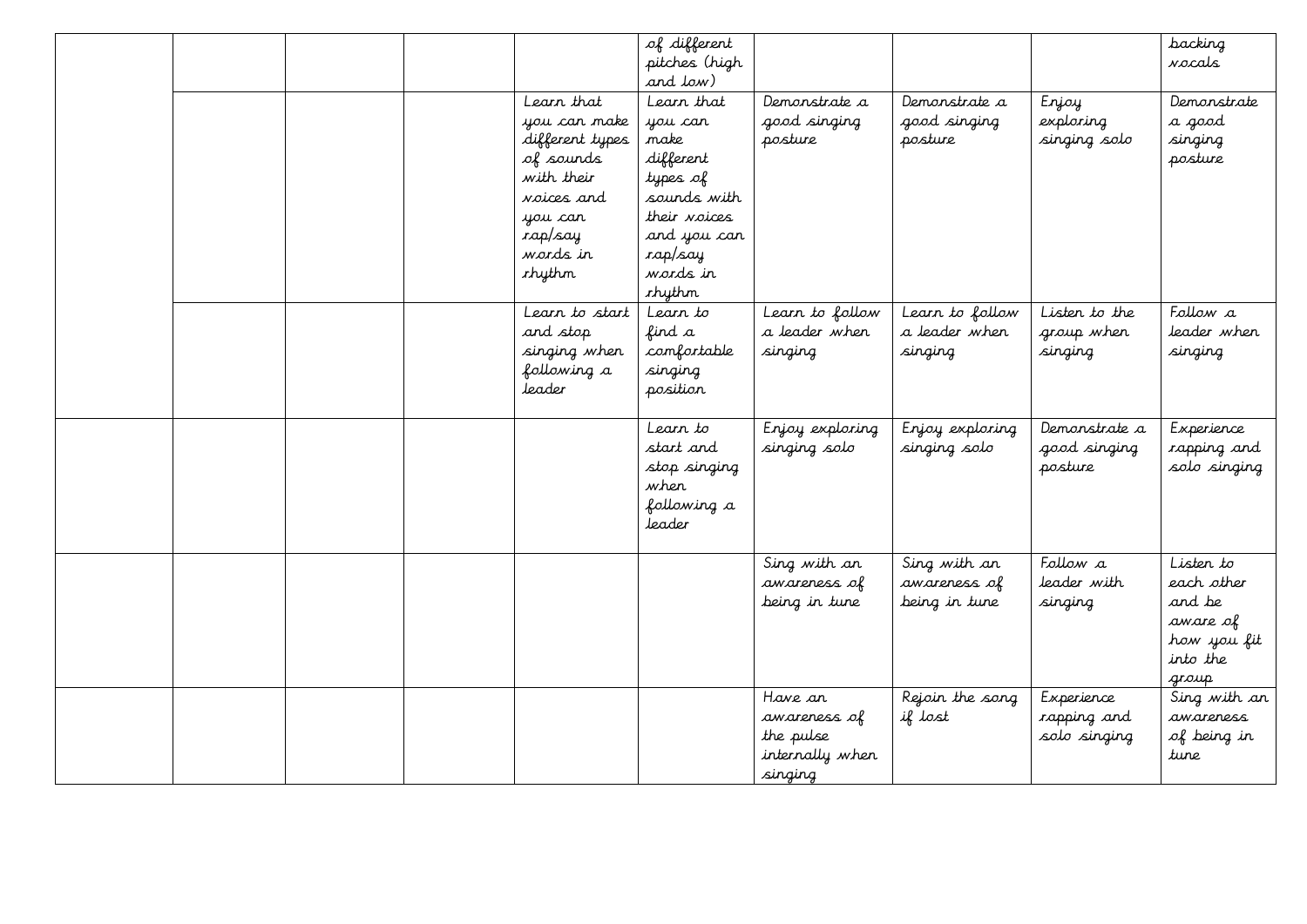|  |  |                   | of different              |                 |                 |               | backing      |
|--|--|-------------------|---------------------------|-----------------|-----------------|---------------|--------------|
|  |  |                   | pitches (high             |                 |                 |               | vocals       |
|  |  |                   | and low)                  |                 |                 |               |              |
|  |  | Learn that        | Learn that                | Demonstrate a   | Demonstrate a   | Enjoy         | Demonstrate  |
|  |  | you can make      | you can                   | good singing    | good singing    | exploring     | a good       |
|  |  | different types   | make                      | posture         | posture         | singing solo  | singing      |
|  |  | of sounds         | different                 |                 |                 |               | posture      |
|  |  | with their        | types of                  |                 |                 |               |              |
|  |  | <i>Noices</i> and | sounds with               |                 |                 |               |              |
|  |  | you can           | their <i>noices</i>       |                 |                 |               |              |
|  |  | rap/say           | and you can               |                 |                 |               |              |
|  |  | words in          | rap/say                   |                 |                 |               |              |
|  |  | <i>rhythm</i>     | words in                  |                 |                 |               |              |
|  |  |                   |                           |                 |                 |               |              |
|  |  | Learn to start    | <i>rhythm</i><br>Learn to |                 |                 | Listen to the | Follow a     |
|  |  |                   |                           | Learn to follow | Learn to follow |               |              |
|  |  | and stop          | find a                    | a leader when   | a leader when   | group when    | leader when  |
|  |  | singing when      | comfortable               | singing         | singing         | singing       | singing      |
|  |  | following a       | singing                   |                 |                 |               |              |
|  |  | leader            | position                  |                 |                 |               |              |
|  |  |                   |                           |                 |                 |               |              |
|  |  |                   | Learn to                  | Enjoy exploring | Enjoy exploring | Demonstrate a | Experience   |
|  |  |                   | start and                 | singing solo    | singing solo    | good singing  | rapping and  |
|  |  |                   | stop singing              |                 |                 | posture       | solo singing |
|  |  |                   | when                      |                 |                 |               |              |
|  |  |                   | following a               |                 |                 |               |              |
|  |  |                   | leader                    |                 |                 |               |              |
|  |  |                   |                           |                 |                 |               |              |
|  |  |                   |                           | Sing with an    | Sing with an    | Follow a      | Listen to    |
|  |  |                   |                           | awareness of    | awareness of    | leader with   | each other   |
|  |  |                   |                           | being in tune   | being in tune   | singing       | and be       |
|  |  |                   |                           |                 |                 |               | aware of     |
|  |  |                   |                           |                 |                 |               | how you fit  |
|  |  |                   |                           |                 |                 |               | into the     |
|  |  |                   |                           |                 |                 |               | group        |
|  |  |                   |                           | Have an         | Rejoin the song | Experience    | Sing with an |
|  |  |                   |                           | awareness of    | if lost         | rapping and   | awareness    |
|  |  |                   |                           | the pulse       |                 | solo singing  | of being in  |
|  |  |                   |                           | internally when |                 |               | tune         |
|  |  |                   |                           | singing         |                 |               |              |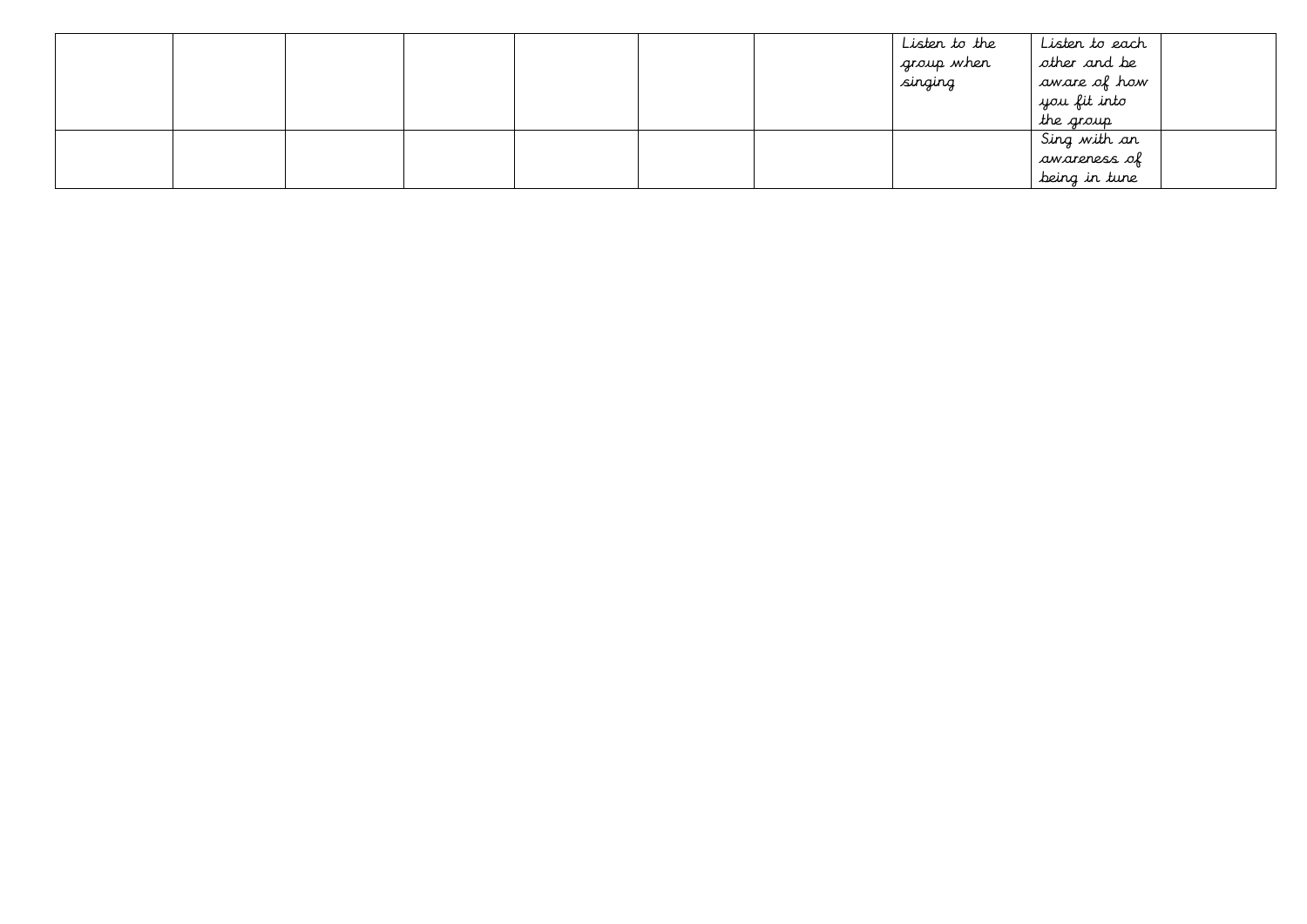|  |  |  | Listen to the | Lister to each |  |
|--|--|--|---------------|----------------|--|
|  |  |  | l group when  | other and be   |  |
|  |  |  | singing       | aware of how   |  |
|  |  |  |               | you fit into   |  |
|  |  |  |               | the group      |  |
|  |  |  |               | Sing with an   |  |
|  |  |  |               | awareness of   |  |
|  |  |  |               | being in tune  |  |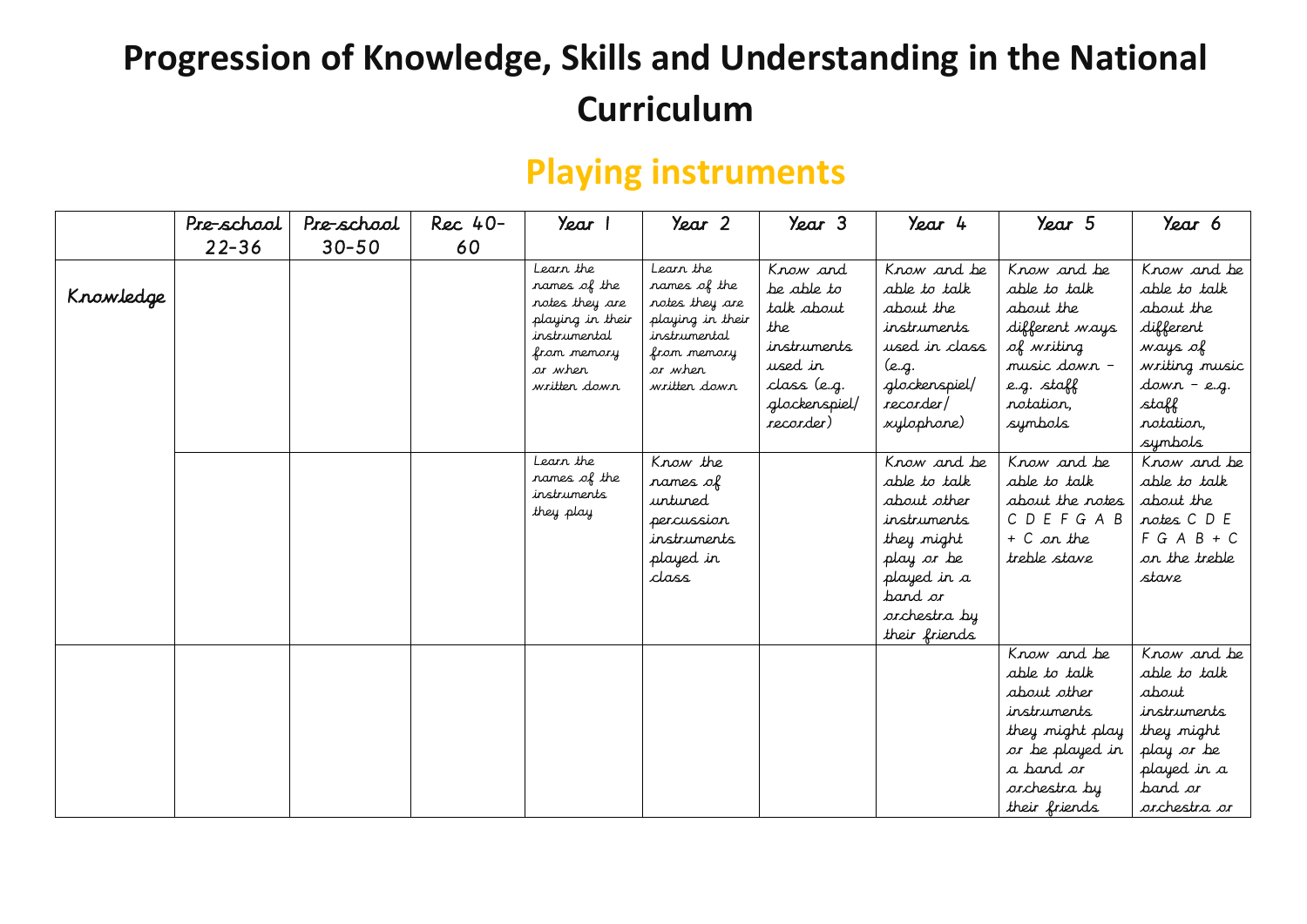#### **Playing instruments**

|           | Pre-school | Pre-school | Rec 40- | Year 1                                                                                                                    | Year 2                                                                                                                    | Year 3                                                                                                             | Year 4                                                                                                                                           | Year 5                                                                                                                                        | Year 6                                                                                                                            |
|-----------|------------|------------|---------|---------------------------------------------------------------------------------------------------------------------------|---------------------------------------------------------------------------------------------------------------------------|--------------------------------------------------------------------------------------------------------------------|--------------------------------------------------------------------------------------------------------------------------------------------------|-----------------------------------------------------------------------------------------------------------------------------------------------|-----------------------------------------------------------------------------------------------------------------------------------|
|           | $22 - 36$  | $30 - 50$  | 60      |                                                                                                                           |                                                                                                                           |                                                                                                                    |                                                                                                                                                  |                                                                                                                                               |                                                                                                                                   |
| Knowledge |            |            |         | Learn the<br>names of the<br>notes they are<br>playing in their<br>instrumental<br>from memory<br>or when<br>written down | Learn the<br>names of the<br>notes they are<br>playing in their<br>instrumental<br>from memory<br>or when<br>written down | Know and<br>be able to<br>talk about<br>the<br>instruments<br>used in<br>class (e.g.<br>glockenspiel/<br>recorder) | Know and be<br>able to talk<br>about the<br>instruments<br>used in class<br>(e.g.<br>glockenspiel/<br>recorder/<br>xylophone)                    | Know and be<br>able to talk<br>about the<br>different ways<br>of writing<br>music down –<br>e.g. staff<br>rotation,<br>symbols                | Know and be<br>able to talk<br>about the<br>different<br>ways of<br>writing music<br>down - e.g.<br>staff<br>rotation,<br>symbols |
|           |            |            |         | Learn the<br>rames of the<br>instruments<br>they play                                                                     | Know the<br>rames of<br>untuned<br>percussion<br>instruments<br>played in<br>class                                        |                                                                                                                    | Know and be<br>able to talk<br>about other<br>instruments<br>they might<br>play or be<br>played in a<br>pand ar<br>orchestra by<br>their friends | Know and be<br>able to talk<br>about the notes<br>CDEFGAB<br>$+$ C on the<br>treble stave                                                     | Know and be<br>able to talk<br>about the<br>notes C D E<br>$FGA B + C$<br>on the treble<br>stave                                  |
|           |            |            |         |                                                                                                                           |                                                                                                                           |                                                                                                                    |                                                                                                                                                  | Know and be<br>able to talk<br>about other<br>instruments<br>they might play<br>or be played in<br>a band ar<br>orchestra by<br>their friends | Know and be<br>able to talk<br>about<br>instruments<br>they might<br>play or be<br>played in a<br>band <i>or</i><br>orchestra or  |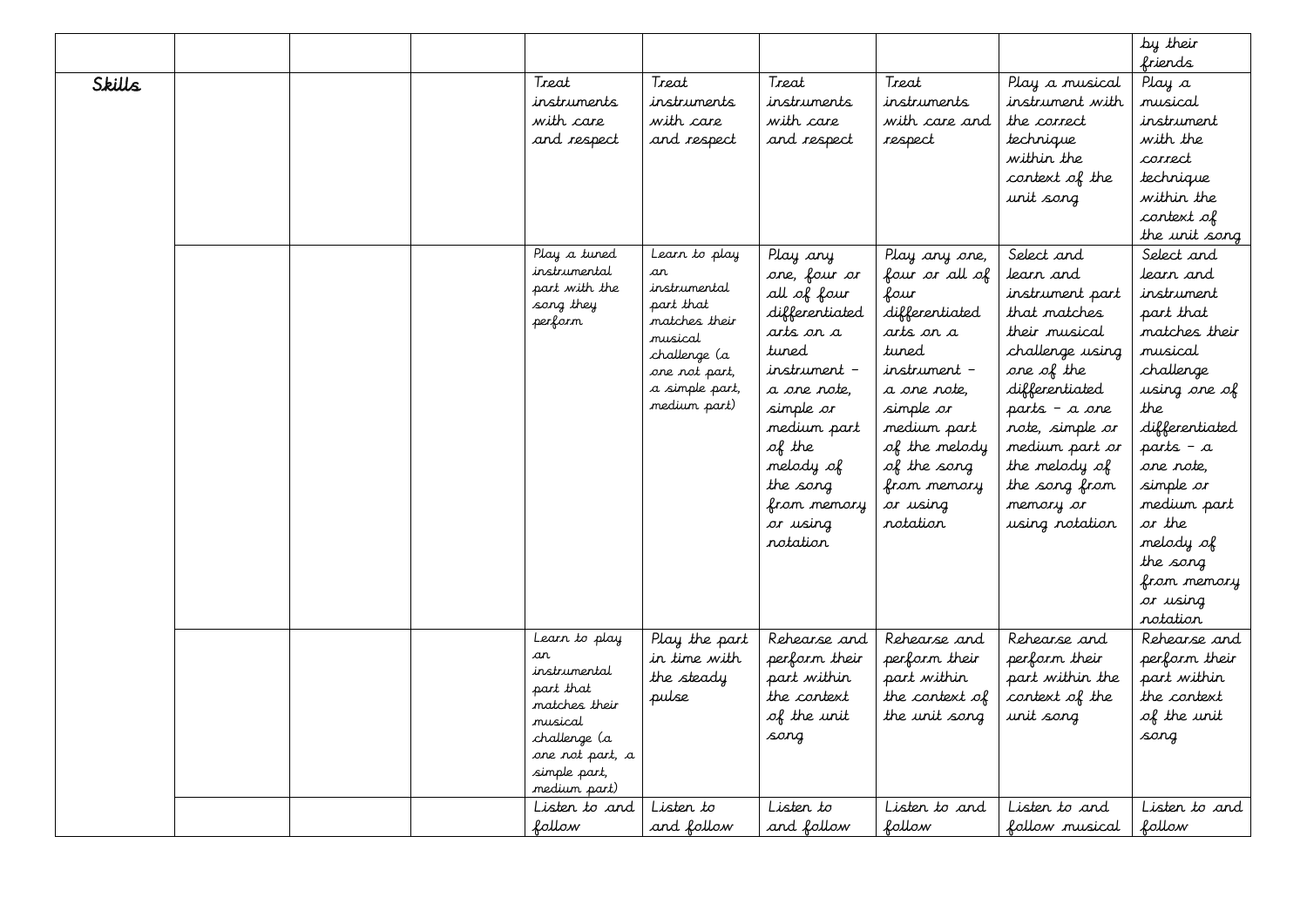|        |  |                                                                                                                                                 |                                                                                                                                                 |                                                                                                                                                                                                                      |                                                                                                                                                                                                                   |                                                                                                                                                                                                                                                       | by their<br>friends                                                                                                                                                                                                                                                  |
|--------|--|-------------------------------------------------------------------------------------------------------------------------------------------------|-------------------------------------------------------------------------------------------------------------------------------------------------|----------------------------------------------------------------------------------------------------------------------------------------------------------------------------------------------------------------------|-------------------------------------------------------------------------------------------------------------------------------------------------------------------------------------------------------------------|-------------------------------------------------------------------------------------------------------------------------------------------------------------------------------------------------------------------------------------------------------|----------------------------------------------------------------------------------------------------------------------------------------------------------------------------------------------------------------------------------------------------------------------|
| Skills |  | Treat<br>instruments<br>with care<br>and respect                                                                                                | Treat<br>instruments<br>with care<br>and respect                                                                                                | Treat<br>instruments<br>with care<br>and respect                                                                                                                                                                     | Treat<br><i>instruments</i><br>with care and<br>respect                                                                                                                                                           | Play a musical<br>instrument with<br>the correct<br>technique<br>within the<br>context of the<br>unit sang                                                                                                                                            | Play a<br>musical<br>instrument<br>with the<br>carrect<br>technique<br>within the<br>context of<br>the unit song                                                                                                                                                     |
|        |  | Play a tuned<br>instrumental<br>part with the<br>song they<br>perform                                                                           | Learn to play<br>an<br>instrumental<br>part that<br>matches their<br>musical<br>challenge (a<br>one not part,<br>a simple part,<br>medium part) | Play any<br>one, four or<br>all of four<br>differentiated<br>arts on a<br>tuned<br>instrument –<br>a one rote.<br>simple or<br>medium part<br>of the<br>melody of<br>the song<br>from memory<br>or using<br>rotation | Play any one,<br>four or all of<br>four<br>differentiated<br>arts ar a<br>tuned<br>instrument –<br>a one rote,<br>simple or<br>medium part<br>of the melody<br>of the song<br>from memory<br>or using<br>rotation | Select and<br>learn and<br>instrument part<br>that matches<br>their musical<br>challenge using<br>one of the<br>differentiated<br>parts – a one<br>note, simple or<br>medium part or<br>the melody of<br>the song from<br>memory or<br>using notation | Select and<br>learr and<br>instrument<br>part that<br>matches their<br>musical<br>challenge<br>using one of<br>the<br>differentiated<br>parts - a<br>one rote.<br>simple or<br>medium part<br>or the<br>melody of<br>the song<br>from memory<br>or using<br>rotation |
|        |  | Learn to play<br>ar<br>instrumental<br>part that<br>matches their<br>musical<br>challenge (a<br>one not part, a<br>simple part,<br>medium part) | Play the part<br>in time with<br>the steady<br>pulse                                                                                            | Rehearse and<br>perform their<br>part within<br>the context<br>of the unit<br>sarg                                                                                                                                   | Rehearse and<br>perform their<br>part within<br>the context of<br>the unit song                                                                                                                                   | Rehearse and<br>perform their<br>part within the<br>context of the<br>unit song                                                                                                                                                                       | Rehearse and<br>perform their<br>part within<br>the context<br>of the unit<br>sarg                                                                                                                                                                                   |
|        |  | Listen to and<br>follow                                                                                                                         | Listen to<br>and follow                                                                                                                         | Listen to<br>and follow                                                                                                                                                                                              | Listen to and<br>follow                                                                                                                                                                                           | Listen to and<br>follow musical                                                                                                                                                                                                                       | Listen to and<br>follow                                                                                                                                                                                                                                              |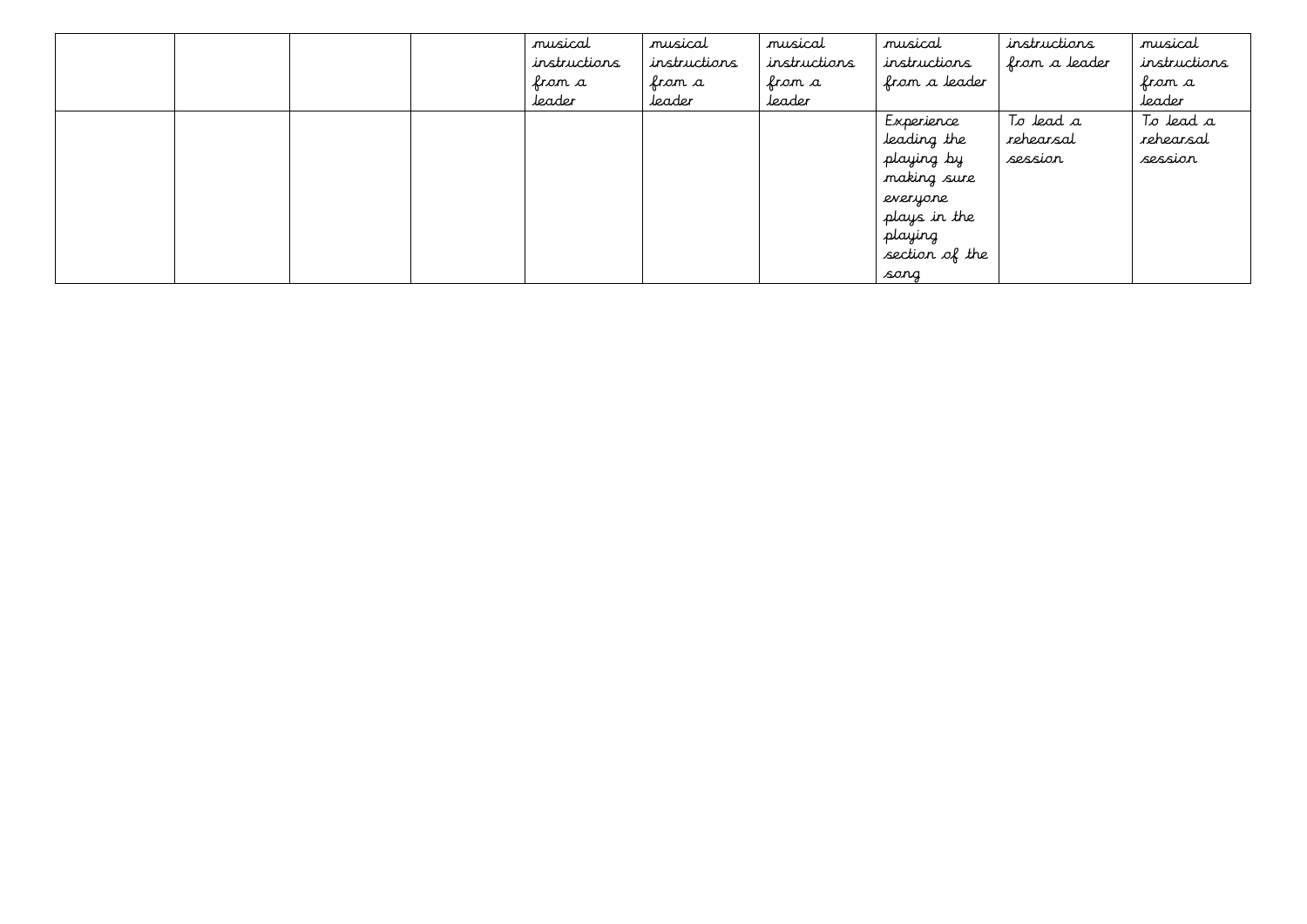|  |  | musical      | musical      | musical      | musical        | instructions  | musical      |
|--|--|--------------|--------------|--------------|----------------|---------------|--------------|
|  |  | instructions | instructions | instructions | instructions   | from a leader | instructions |
|  |  | from a       | from a       | from a       | from a leader  |               | from a       |
|  |  | leader       | leader       | leader       |                |               | leader       |
|  |  |              |              |              | Experience     | To lead a     | To lead a    |
|  |  |              |              |              | leading the    | rehearsal     | rehearsal    |
|  |  |              |              |              | playing by     | session       | session      |
|  |  |              |              |              | making sure    |               |              |
|  |  |              |              |              | everyone       |               |              |
|  |  |              |              |              | plays in the   |               |              |
|  |  |              |              |              | playing        |               |              |
|  |  |              |              |              | section of the |               |              |
|  |  |              |              |              | sang           |               |              |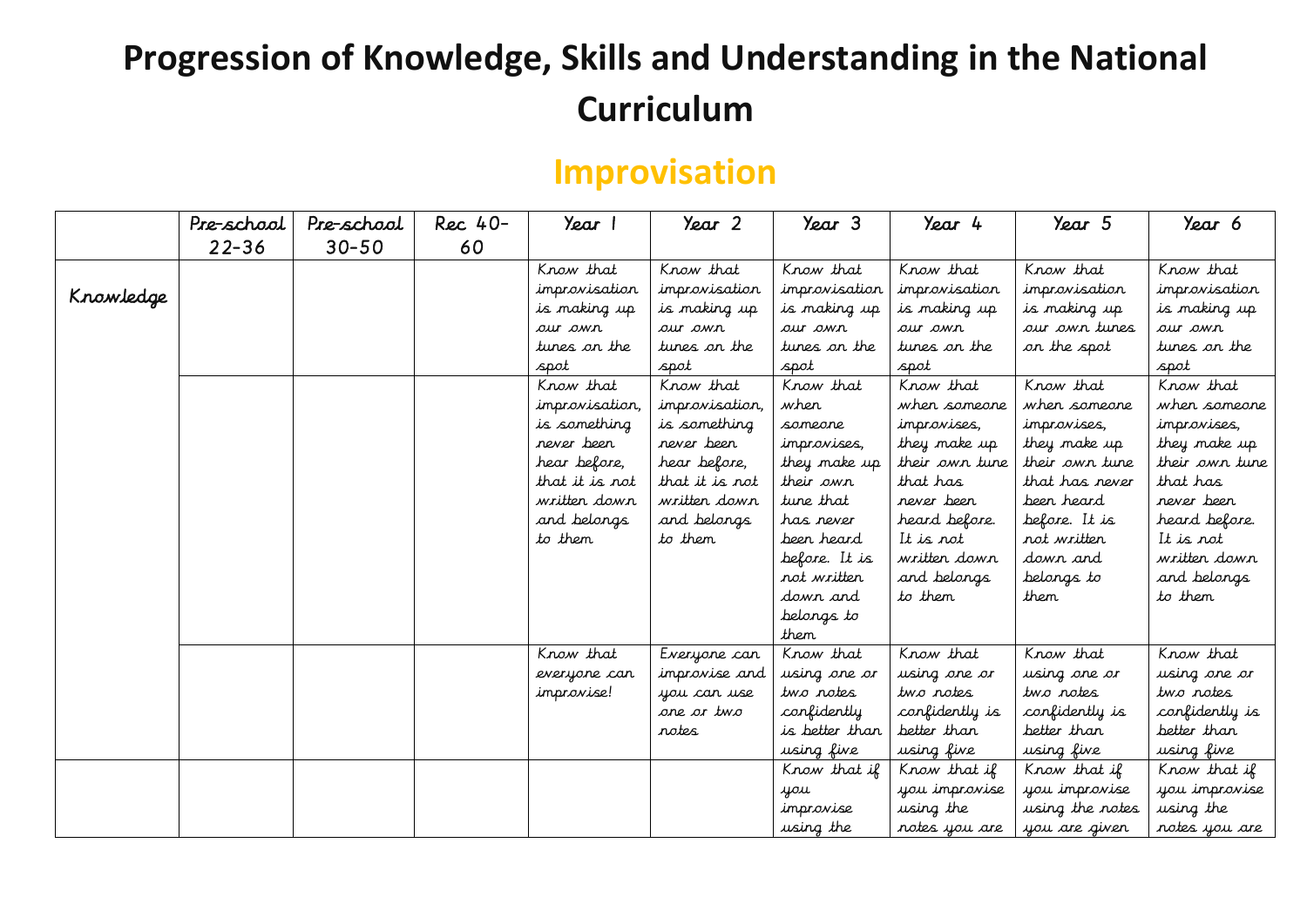#### **Improvisation**

|           | Pre-school | Pre-school | Rec 40- | Year 1                                                                                                                                                                                                                 | Year 2                                                                                                                                                                                                                 | Year 3                                                                                                                                                                                                             | Year 4                                                                                                                                                                                                                              | Year 5                                                                                                                                                                                                                                       | Year 6                                                                                                                                                                                                                              |
|-----------|------------|------------|---------|------------------------------------------------------------------------------------------------------------------------------------------------------------------------------------------------------------------------|------------------------------------------------------------------------------------------------------------------------------------------------------------------------------------------------------------------------|--------------------------------------------------------------------------------------------------------------------------------------------------------------------------------------------------------------------|-------------------------------------------------------------------------------------------------------------------------------------------------------------------------------------------------------------------------------------|----------------------------------------------------------------------------------------------------------------------------------------------------------------------------------------------------------------------------------------------|-------------------------------------------------------------------------------------------------------------------------------------------------------------------------------------------------------------------------------------|
|           | $22 - 36$  | $30 - 50$  | 60      |                                                                                                                                                                                                                        |                                                                                                                                                                                                                        |                                                                                                                                                                                                                    |                                                                                                                                                                                                                                     |                                                                                                                                                                                                                                              |                                                                                                                                                                                                                                     |
| Krowledge |            |            |         | Krow that<br>improvisation<br>is making up<br>our owr<br>tunes on the<br>spot<br>Know that<br>improvisation,<br>is something<br>never been<br>hear before,<br>that it is not<br>written down<br>and belongs<br>to them | Krow that<br>improvisation<br>is making up<br>our owr<br>tunes on the<br>spot<br>Know that<br>improvisation,<br>is something<br>never been<br>hear before,<br>that it is not<br>written dowr<br>and belongs<br>to them | Know that<br>improvisation<br>is making up<br>our own<br>tures or the<br>spot<br>Know that<br>wher<br>sameane<br>improvises,<br>they make up<br>their own<br>tune that<br>has rever<br>beer heard<br>before. It is | Krow that<br>improvisation<br>is making up<br>our own<br>tunes on the<br>spot<br>Know that<br>when someone<br>improvises,<br>they make up<br>their own tune<br>that has<br>never been<br>heard before.<br>It is not<br>written down | Know that<br>improvisation<br>is making up<br>our own tunes<br>or the spot<br>Know that<br>when someone<br>improvises,<br>they make up<br>their <i>o</i> wn tune<br>that has never<br>been heard<br>before. It is<br>rot written<br>down and | Krow that<br>improvisation<br>is making up<br>our owr<br>tunes on the<br>spot<br>Know that<br>when someone<br>improvises,<br>they make up<br>their own tune<br>that has<br>never been<br>heard before.<br>It is not<br>written down |
|           |            |            |         |                                                                                                                                                                                                                        |                                                                                                                                                                                                                        | rot writter<br>down and<br>belongs to<br>them                                                                                                                                                                      | and belongs<br>to them                                                                                                                                                                                                              | belongs to<br>them                                                                                                                                                                                                                           | and belongs<br>to them                                                                                                                                                                                                              |
|           |            |            |         | Know that<br>everyone can<br>improvise!                                                                                                                                                                                | Everyone can<br>improvise and<br>you can use<br>one or two<br>rotes                                                                                                                                                    | Know that<br>using one or<br>two rotes<br>confidently<br>is better than<br>using five                                                                                                                              | Know that<br>using one or<br>two rotes<br>confidently is<br>better than<br>using five                                                                                                                                               | Know that<br>using one or<br>two rotes<br>confidently is<br>better than<br>using five                                                                                                                                                        | Know that<br>using one or<br>two rotes<br>confidently is<br>better than<br>using five                                                                                                                                               |
|           |            |            |         |                                                                                                                                                                                                                        |                                                                                                                                                                                                                        | Know that if<br>you<br>improvise<br>using the                                                                                                                                                                      | Know that if<br>you improvise<br>using the<br>rotes you are                                                                                                                                                                         | Know that if<br>you improvise<br>using the notes<br>you are given                                                                                                                                                                            | Know that if<br>you improvise<br>using the<br>rotes you are                                                                                                                                                                         |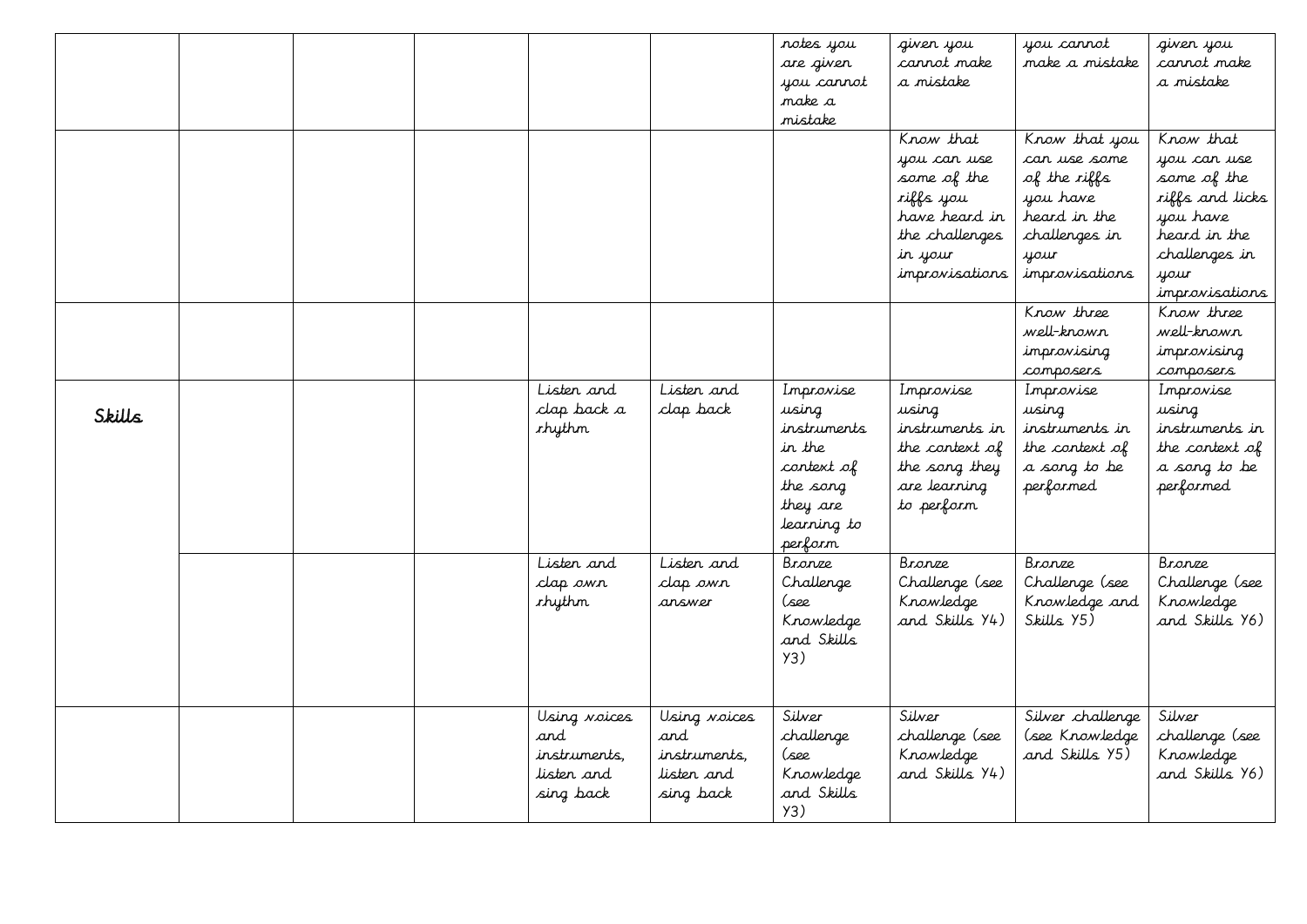|        |  |                                                                       |                                                                       | rotes you<br>are given<br>you cannot<br>make a<br>mistake                                                   | giver you<br>cannot make<br>a mistake<br>Know that<br>you can use<br>some of the<br>riffs you<br>have heard in<br>the challenges<br>in your<br>improvisations | you cannot<br>make a mistake<br>Know that you<br>can use some<br>of the riffs<br>you have<br>heard in the<br>challenges in<br>your<br>improvisations | giver you<br>cannot make<br>a mistake<br>Know that<br>you can use<br>some of the<br>riffs and licks<br>you have<br>heard in the<br>challenges in<br>your<br>improvisations |
|--------|--|-----------------------------------------------------------------------|-----------------------------------------------------------------------|-------------------------------------------------------------------------------------------------------------|---------------------------------------------------------------------------------------------------------------------------------------------------------------|------------------------------------------------------------------------------------------------------------------------------------------------------|----------------------------------------------------------------------------------------------------------------------------------------------------------------------------|
|        |  |                                                                       |                                                                       |                                                                                                             |                                                                                                                                                               | Know three<br>well-krown<br>improvising<br>composers                                                                                                 | Know three<br>well-krown<br>improvising<br>composers                                                                                                                       |
| Skills |  | Listen and<br>clap back a<br><i>rhythm</i>                            | Listen and<br>clap back                                               | Improvise<br>using<br>instruments<br>in the<br>context of<br>the song<br>they are<br>learning to<br>perform | Improvise<br>using<br>instruments in<br>the context of<br>the song they<br>are learning<br>to perform                                                         | Improvise<br>using<br>instruments in<br>the context of<br>a song to be<br>performed                                                                  | Improvise<br>using<br>instruments in<br>the context of<br>a song to be<br>performed                                                                                        |
|        |  | Listen and<br>clap own<br><i>rhythm</i>                               | Listen and<br>clap own<br>answer                                      | Bronze<br>Challenge<br>(see<br>Knowledge<br>and Skills<br>Y3)                                               | Bronze<br>Challenge (see<br>Knowledge<br>and Skills Y4)                                                                                                       | Bronze<br>Challenge (see<br>Knowledge and<br>Skills Y5)                                                                                              | Bronze<br>Challenge (see<br>Knowledge<br>and Skills Y6)                                                                                                                    |
|        |  | Using <i>noices</i><br>and<br>instruments.<br>listen and<br>sing back | Using <i>noices</i><br>and<br>instruments.<br>listen and<br>sing back | Silver<br>challenge<br>(see<br>Knowledge<br>and Skills<br>Y3)                                               | Silver<br>challenge (see<br>Knowledge<br>and Skills Y4)                                                                                                       | Silver challenge<br>(see Knowledge<br>and Skills Y5)                                                                                                 | Silver<br>challenge (see<br>Knowledge<br>and Skills Y6)                                                                                                                    |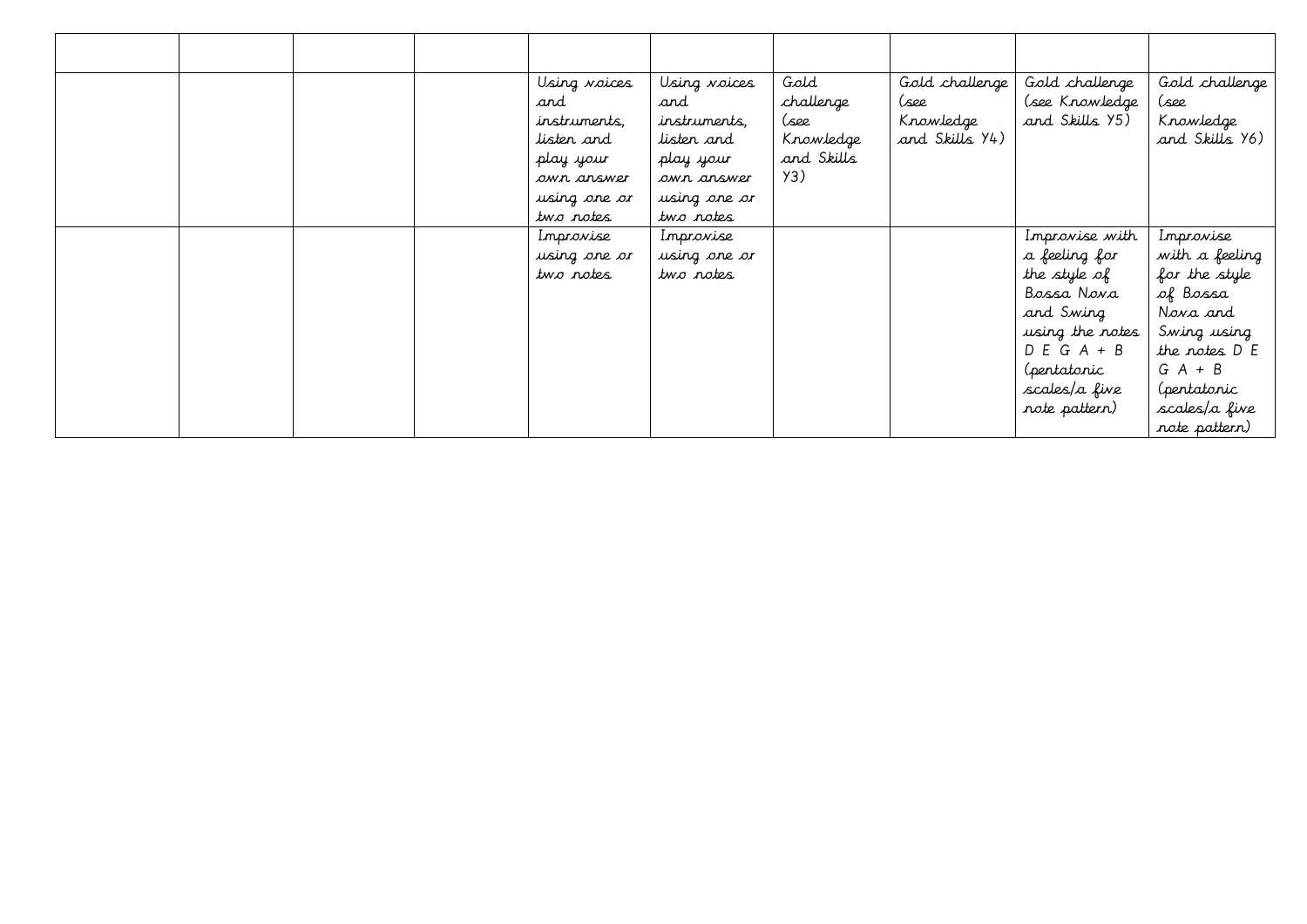|  |  | Using voices<br>and<br>instruments.<br>listen and<br>play your<br>own answer | Using <i>noices</i><br>and<br>instruments,<br>listen and<br>play your<br>own answer | Gold<br>challenge<br>(see<br>Knowledge<br>and Skills<br>Y3) | Gold challenge<br>(see<br>Knowledge<br>and Skills Y4) | Gold challenge<br>(see Knowledge<br>and Skills Y5)                                                                                                              | Gold challenge<br>(see<br>Knowledge<br>and Skills Y6)                                                                                                                |
|--|--|------------------------------------------------------------------------------|-------------------------------------------------------------------------------------|-------------------------------------------------------------|-------------------------------------------------------|-----------------------------------------------------------------------------------------------------------------------------------------------------------------|----------------------------------------------------------------------------------------------------------------------------------------------------------------------|
|  |  | using one or<br>two rotes                                                    | using one or<br>two rotes                                                           |                                                             |                                                       |                                                                                                                                                                 |                                                                                                                                                                      |
|  |  | Improvise<br>using one or<br>two rotes                                       | Inprovise<br>using one or<br>two rotes                                              |                                                             |                                                       | Improvise with<br>a feeling for<br>the style of<br>Bossa Nova<br>and Swing<br>using the notes<br>$D E G A + B$<br>(pertatoric<br>scales/a five<br>note pattern) | Improvise<br>with a feeling<br>for the style<br>of Bossa<br>Nova and<br>Swing using<br>the notes D E<br>$G$ $A + B$<br>(pertatoric<br>scales/a five<br>note pattern) |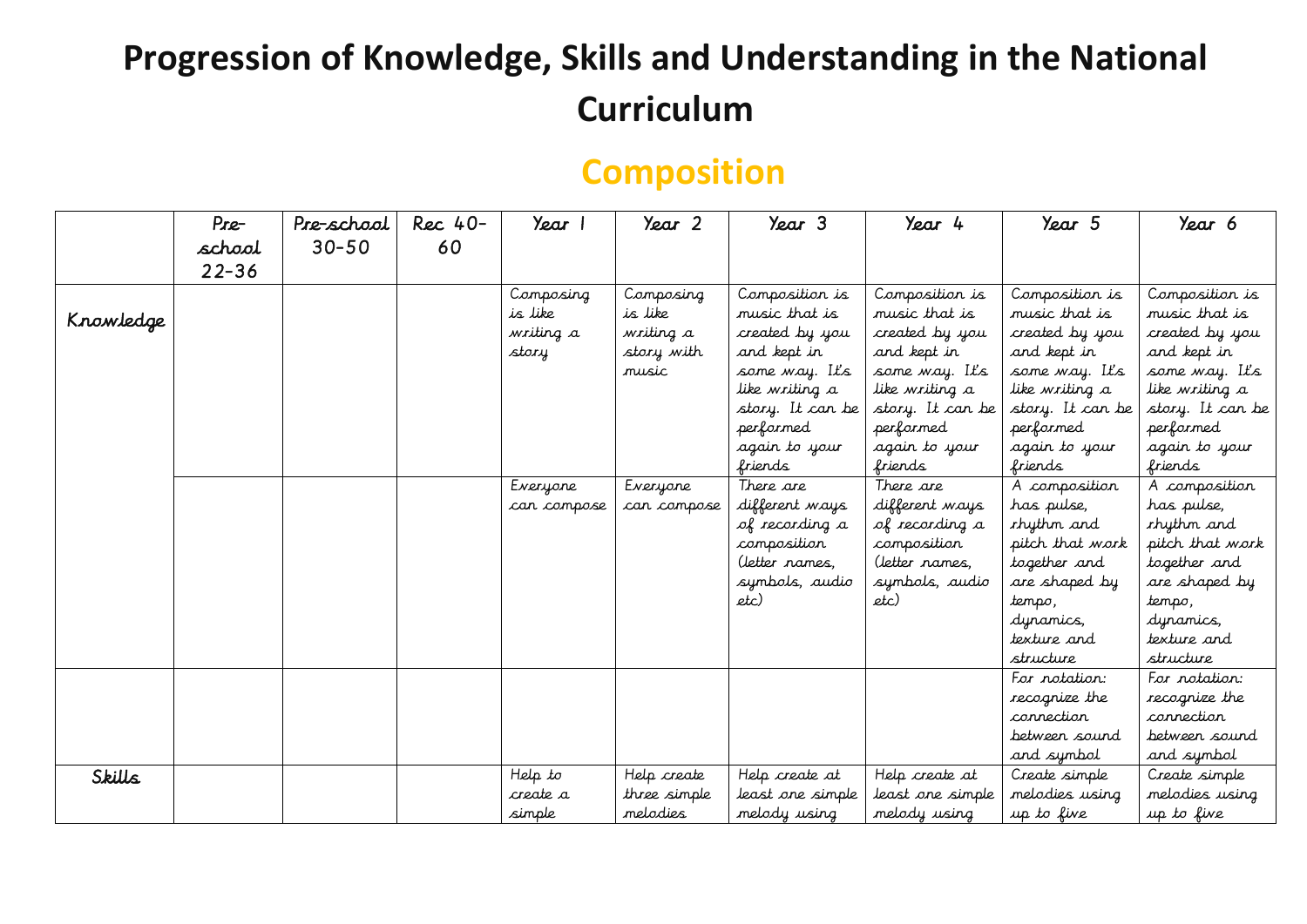#### **Composition**

|           | Pre-                | Pre-school | Rec 40- | Year                                       | Year 2                                                   | $\gamma_{\text{ear}}$ 3                                                                                                                                          | Year 4                                                                                                                                                           | Year 5                                                                                                                                                            | Year 6                                                                                                                                                            |
|-----------|---------------------|------------|---------|--------------------------------------------|----------------------------------------------------------|------------------------------------------------------------------------------------------------------------------------------------------------------------------|------------------------------------------------------------------------------------------------------------------------------------------------------------------|-------------------------------------------------------------------------------------------------------------------------------------------------------------------|-------------------------------------------------------------------------------------------------------------------------------------------------------------------|
|           | school<br>$22 - 36$ | $30 - 50$  | 60      |                                            |                                                          |                                                                                                                                                                  |                                                                                                                                                                  |                                                                                                                                                                   |                                                                                                                                                                   |
| Knowledge |                     |            |         | Composing<br>is like<br>writing a<br>story | Composing<br>is like<br>writing a<br>story with<br>music | Composition is<br>music that is<br>created by you<br>and kept in<br>some way. Ils<br>like writing a<br>story. It can be<br>performed<br>agair to your<br>friends | Composition is<br>music that is<br>created by you<br>and kept in<br>some way. Ils<br>like writing a<br>story. It can be<br>performed<br>again to your<br>friends | Composition is<br>music that is<br>created by you<br>and kept in<br>some way. It's<br>like writing a<br>story. It can be<br>performed<br>agair to your<br>friends | Composition is<br>music that is<br>created by you<br>and kept in<br>some way. It's<br>like writing a<br>story. It can be<br>performed<br>again to your<br>friends |
|           |                     |            |         | Everyone<br>can compose                    | Everyone<br>can compose                                  | There are<br>different ways<br>of recording a<br>composition<br>(letter names,<br>symbols, audio<br>etc)                                                         | There are<br>different ways<br>of recording a<br>composition<br>(letter names,<br>symbols, audio<br>etc)                                                         | A composition<br>has pulse,<br><i>rhythm and</i><br>pitch that work<br>together and<br>are shaped by<br>tempo,<br>dynamics,<br>texture and<br>structure           | A composition<br>has pulse,<br><i>rhythm and</i><br>pitch that work<br>together and<br>are shaped by<br>tempo,<br>dynamics,<br>texture and<br>structure           |
|           |                     |            |         |                                            |                                                          |                                                                                                                                                                  |                                                                                                                                                                  | For notation:<br>recognize the<br>connection<br>betweer sound<br>and symbol                                                                                       | For notation:<br>recognize the<br>connection<br>betweer sound<br>and symbol                                                                                       |
| Skills    |                     |            |         | Help to<br>create a<br>simple              | Help create<br>three simple<br>melodies                  | Help create at<br>least one simple<br>melody using                                                                                                               | Help create at<br>least one simple<br>melody using                                                                                                               | Create simple<br>melodies using<br>up to five                                                                                                                     | Create simple<br>melodies using<br>up to five                                                                                                                     |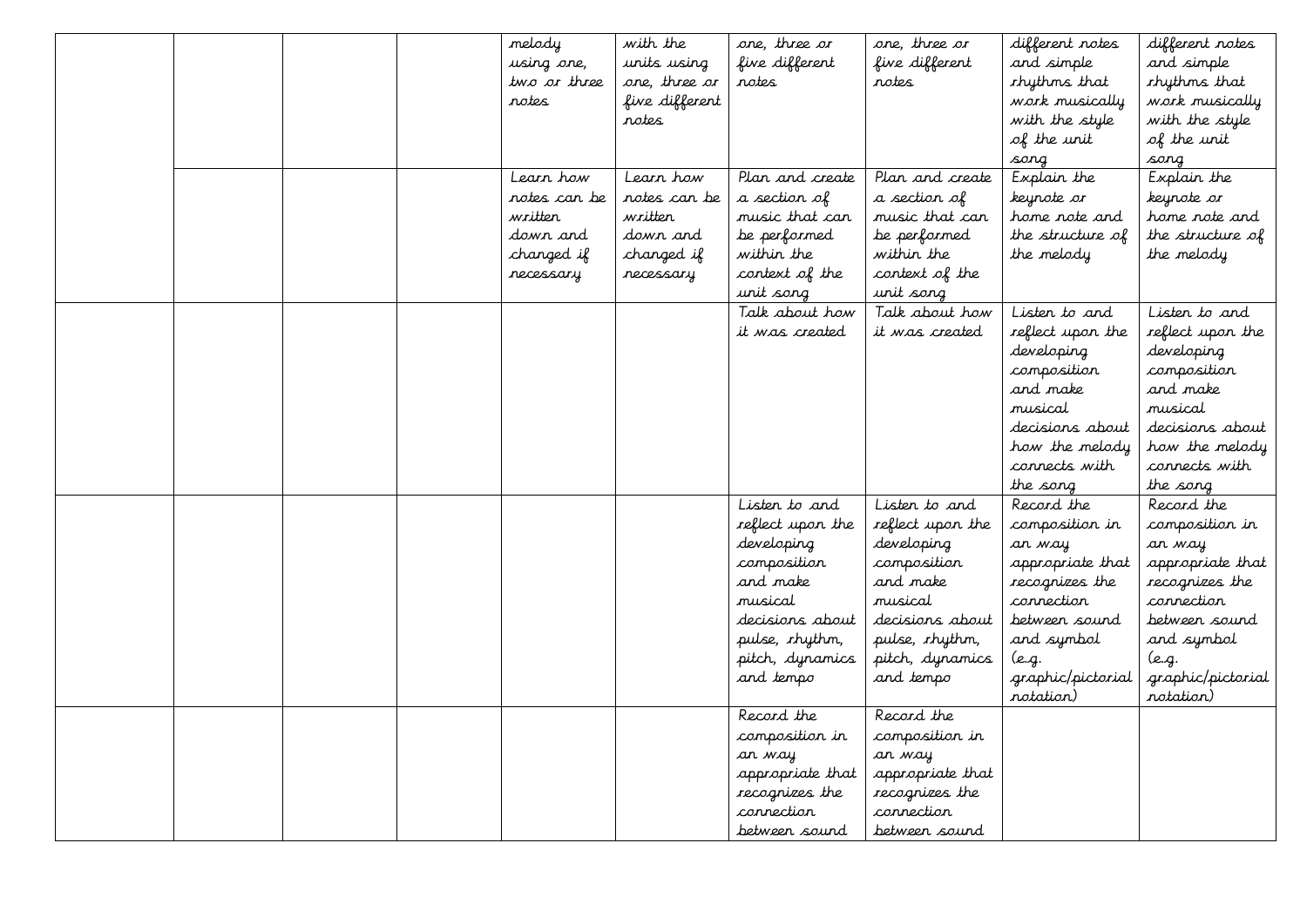|  |  | melody       | with the       | one, three or    | one, three or    | different notes     | different notes     |
|--|--|--------------|----------------|------------------|------------------|---------------------|---------------------|
|  |  | using one,   | units using    | five different   | five different   | and simple          | and simple          |
|  |  | two or three | one, three or  | rotes            | rotes            | <i>rhythms that</i> | <i>rhythms that</i> |
|  |  | rotes        | five different |                  |                  | work musically      | work musically      |
|  |  |              | rotes          |                  |                  | with the style      | with the style      |
|  |  |              |                |                  |                  | of the unit         | of the unit         |
|  |  |              |                |                  |                  | sang                | sang                |
|  |  | Learn how    | Learr how      | Plan and create  | Plan and create  | Explain the         | Explain the         |
|  |  | notes can be | notes can be   | a section of     | a section of     | keynote or          | keynote or          |
|  |  | written      | written        | music that can   | music that can   | home note and       | home note and       |
|  |  | down and     | down and       | be performed     | be performed     | the structure of    | the structure of    |
|  |  | changed if   | changed if     | within the       | within the       | the melody          | the melody          |
|  |  | recessary    | recessary      | context of the   | context of the   |                     |                     |
|  |  |              |                | unit song        | unit song        |                     |                     |
|  |  |              |                | Talk about how   | Talk about how   | Listen to and       | Listen to and       |
|  |  |              |                | it was created   | it was created   | reflect upon the    | reflect upon the    |
|  |  |              |                |                  |                  | developing          | developing          |
|  |  |              |                |                  |                  | composition         | composition         |
|  |  |              |                |                  |                  | and make            | and make            |
|  |  |              |                |                  |                  | musical             | musical             |
|  |  |              |                |                  |                  | decisions about     | decisions about     |
|  |  |              |                |                  |                  | how the melody      | how the melody      |
|  |  |              |                |                  |                  | cornects with       | connects with       |
|  |  |              |                |                  |                  | the song            | the song            |
|  |  |              |                | Listen to and    | Listen to and    | Record the          | Record the          |
|  |  |              |                | reflect upon the | reflect upon the | composition in      | composition in      |
|  |  |              |                | developing       | developing       | ar way              | an way              |
|  |  |              |                | composition      | composition      | appropriate that    | appropriate that    |
|  |  |              |                | and make         | and make         | recognizes the      | recognizes the      |
|  |  |              |                | musical          | musical          | connection          | connection          |
|  |  |              |                | decisions about  | decisions about  | betweer sound       | betweer sound       |
|  |  |              |                | pulse, rhythm,   | pulse, rhythm,   | and symbol          | and symbol          |
|  |  |              |                | pitch, dynamics  | pitch, dynamics  | (e.g.               | (e.g.               |
|  |  |              |                | and tempo        | and tempo        | graphic/pictorial   | graphic/pictorial   |
|  |  |              |                |                  |                  | notation)           | notation)           |
|  |  |              |                | Record the       | Record the       |                     |                     |
|  |  |              |                | composition in   | composition in   |                     |                     |
|  |  |              |                | an way           | ar way           |                     |                     |
|  |  |              |                | appropriate that | appropriate that |                     |                     |
|  |  |              |                | recognizes the   | recognizes the   |                     |                     |
|  |  |              |                | connection       | connection       |                     |                     |
|  |  |              |                | betweer sound    | betweer sound    |                     |                     |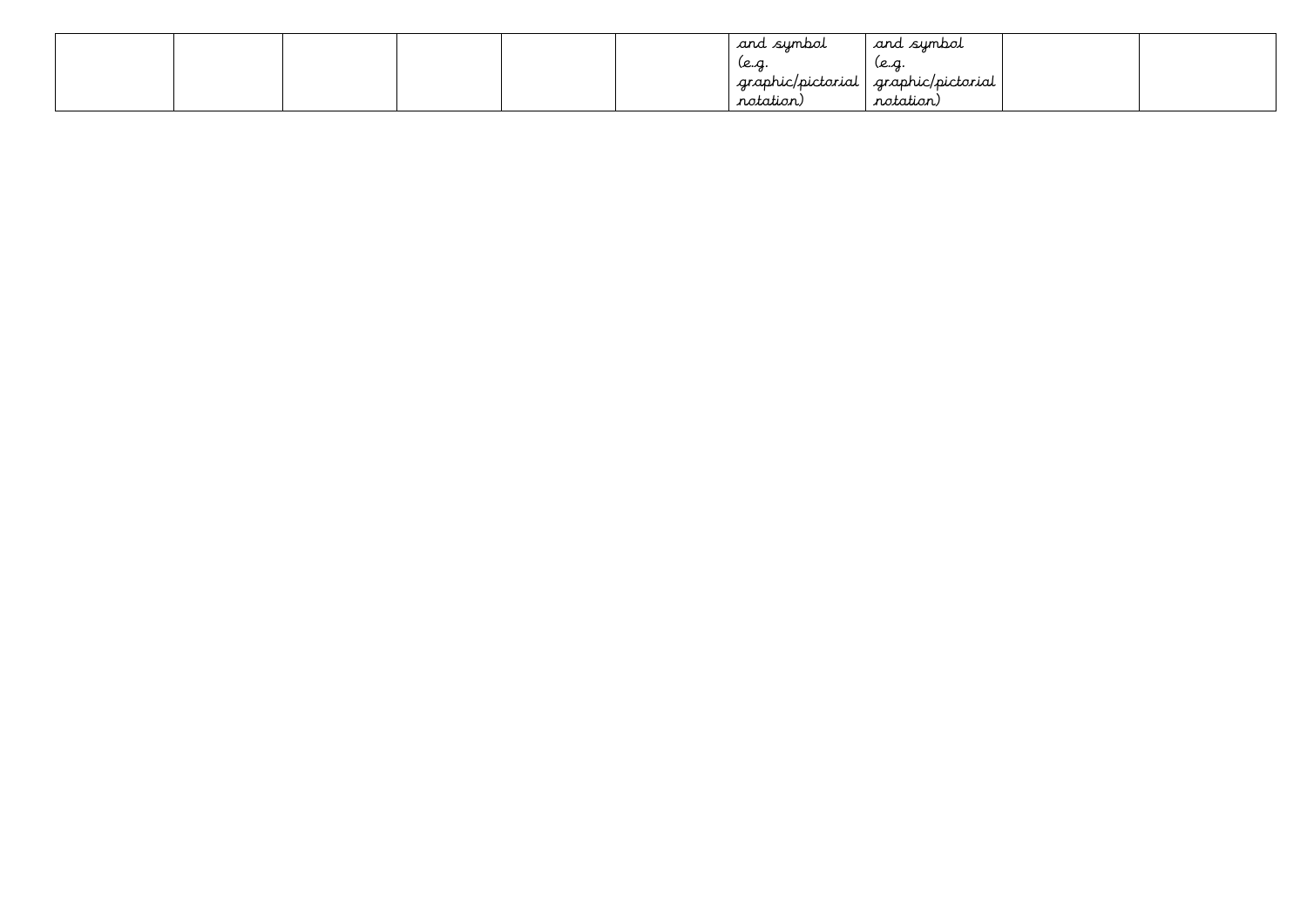|  |  |  | and sumbol            | and sumbol        |  |
|--|--|--|-----------------------|-------------------|--|
|  |  |  | le.g                  | le.g.             |  |
|  |  |  | graphic/pictorial     | graphic/pictorial |  |
|  |  |  | $\cdots$<br>rotation, | rotation.         |  |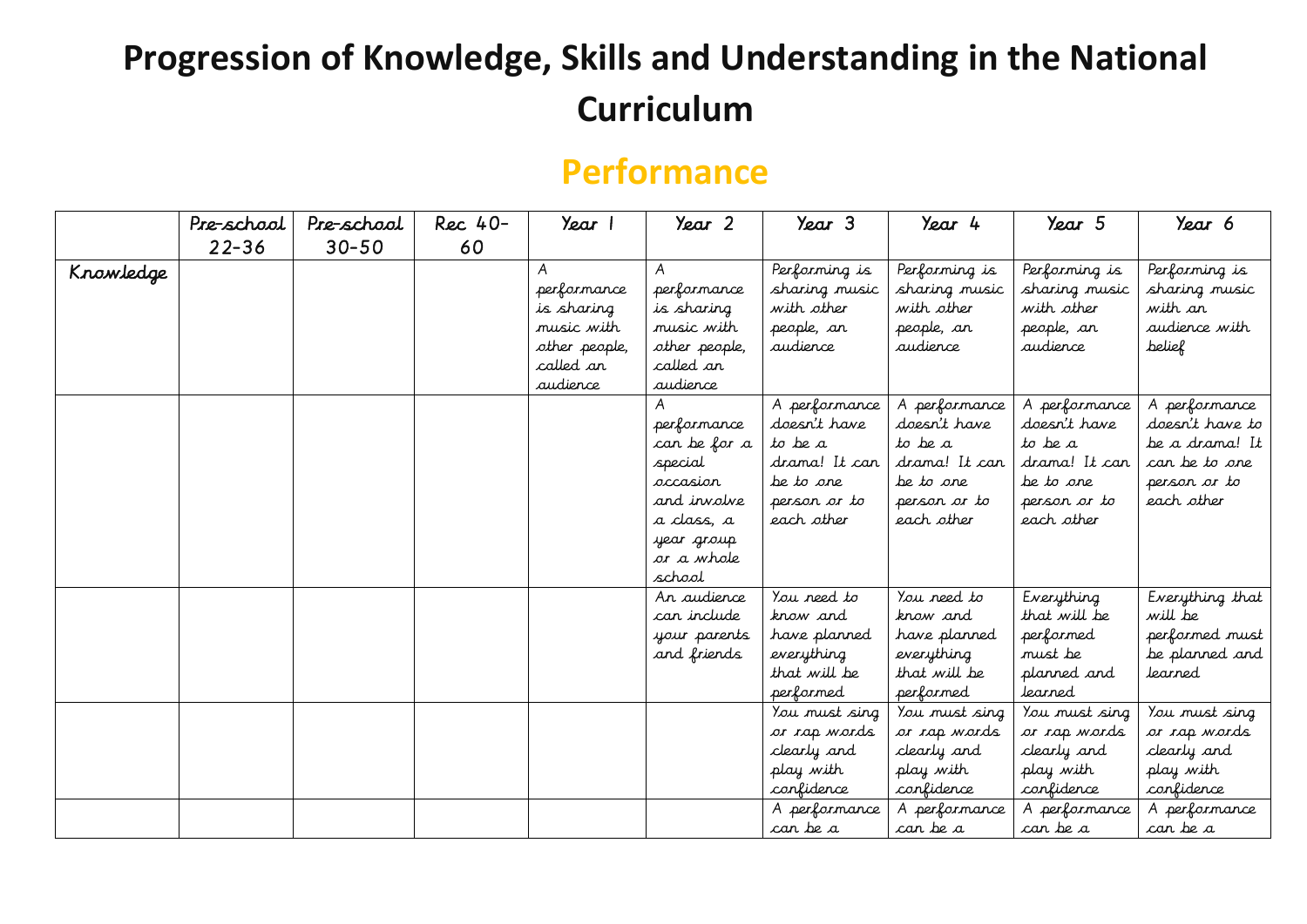#### **Performance**

|           | Pre-school | Pre-school | Rec 40- | Year                                                                              | Year 2                                                                                                                | Year 3                                                                                               | Year 4                                                                                               | Year 5                                                                                               | Year 6                                                                                            |
|-----------|------------|------------|---------|-----------------------------------------------------------------------------------|-----------------------------------------------------------------------------------------------------------------------|------------------------------------------------------------------------------------------------------|------------------------------------------------------------------------------------------------------|------------------------------------------------------------------------------------------------------|---------------------------------------------------------------------------------------------------|
|           | $22 - 36$  | $30 - 50$  | 60      |                                                                                   |                                                                                                                       |                                                                                                      |                                                                                                      |                                                                                                      |                                                                                                   |
| Knowledge |            |            |         | performance<br>is sharing<br>music with<br>other people,<br>called an<br>audierce | A<br>performance<br>is sharing<br>music with<br>other people,<br>called an<br>audience                                | Performing is<br>sharing music<br>with other<br>people, an<br>audience                               | Performing is<br>sharing music<br>with other<br>people, an<br>audience                               | Performing is<br>sharing music<br>with other<br>people, an<br>audience                               | Performing is<br>sharing music<br>with an<br>audience with<br>belief                              |
|           |            |            |         |                                                                                   | performance<br>car be for a<br>special<br>occasion<br>and involve<br>a class, a<br>year group<br>or a whole<br>school | A performance<br>doesn't have<br>to be a<br>drama! It can<br>be to are<br>person or to<br>each other | A performance<br>doesn't have<br>to be a<br>drama! It can<br>be to one<br>person or to<br>each other | A performance<br>doesn't have<br>to be a<br>drama! It can<br>be to one<br>person or to<br>each other | A performance<br>doesn't have to<br>be a drama! It<br>can be to one<br>person or to<br>each other |
|           |            |            |         |                                                                                   | An audience<br>car include<br>your parents<br>and friends                                                             | You need to<br>know and<br>have planned<br>everything<br>that will be<br>performed<br>You must sing  | You need to<br>know and<br>have planned<br>everything<br>that will be<br>performed<br>You must sing  | Everything<br>that will be<br>performed<br>must be<br>planned and<br>learned<br>You must sing        | Everything that<br>will be<br>performed must<br>be planned and<br><i>learned</i><br>You must sing |
|           |            |            |         |                                                                                   |                                                                                                                       | ar rap wards<br>clearly and<br>play with<br>confidence<br>A performance                              | ar rap wards<br>clearly and<br>play with<br>confidence<br>A performance                              | ar rap wards<br>clearly and<br>play with<br>confidence<br>A performance                              | ar rap wards<br>clearly and<br>play with<br>confidence<br>A performance                           |
|           |            |            |         |                                                                                   |                                                                                                                       | car be a                                                                                             | car be a                                                                                             | car be a                                                                                             | car be a                                                                                          |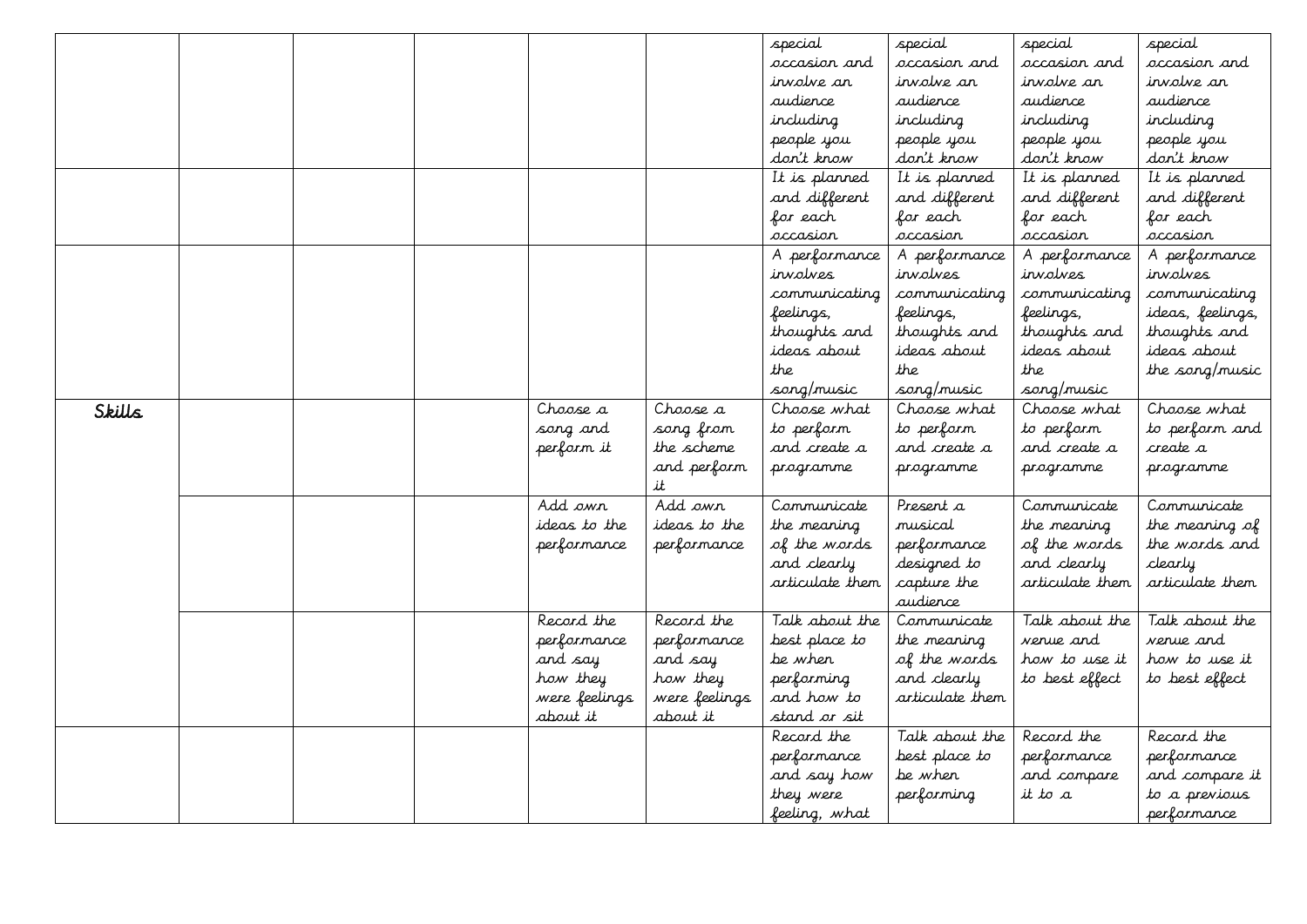|        |  |               |               | special         | special         | special          | special          |
|--------|--|---------------|---------------|-----------------|-----------------|------------------|------------------|
|        |  |               |               | sccasion and    | occasion and    | occasion and     | occasion and     |
|        |  |               |               | irvalve ar      | invalve an      | invalve an       | irvolve ar       |
|        |  |               |               | audience        | audience        | audience         | audience         |
|        |  |               |               | including       | including       | including        | including        |
|        |  |               |               | people you      | people you      | people you       | people you       |
|        |  |               |               | dan't know      | dan't krow      | don't know       | dan't krow       |
|        |  |               |               | It is planned   | It is planned   | It is planned    | It is planned    |
|        |  |               |               | and different   | and different   | and different    | and different    |
|        |  |               |               | for each        | for each        | for each         | for each         |
|        |  |               |               | occasion        | occasion        | occasion         | occasion         |
|        |  |               |               | A performance   | A performance   | A performance    | A performance    |
|        |  |               |               | invalves        | irvalves        | involves         | invalves         |
|        |  |               |               | communicating   | communicating   | communicating    | communicating    |
|        |  |               |               | feelings,       | feelings,       | feelings,        | ideas, feelings, |
|        |  |               |               | thoughts and    | thoughts and    | thoughts and     | thoughts and     |
|        |  |               |               | ideas about     | ideas about     | ideas about      | ideas about      |
|        |  |               |               | the             | the             | the              | the song/music   |
|        |  |               |               | song/music      | song/music      | song/music       |                  |
| Skills |  | Chaose a      | Choose a      | Choose what     | Choose what     | Choose what      | Choose what      |
|        |  | sang and      | sarg fram     | to perform      | to perform      | to perform       | to perform and   |
|        |  | perform it    | the scheme    | and create a    | and create a    | and create a     | create a         |
|        |  |               | and perform   | programme       | programme       | programme        | programme        |
|        |  |               | it            |                 |                 |                  |                  |
|        |  | Add own       | Add own       | Communicate     | Present a       | Communicate      | Communicate      |
|        |  | ideas to the  | ideas to the  | the meaning     | musical         | the meaning      | the meaning of   |
|        |  | performance   | performance   | of the words    | performance     | of the words     | the words and    |
|        |  |               |               | and clearly     | designed to     | and clearly      | clearly          |
|        |  |               |               | articulate them | capture the     | articulate them  | articulate them  |
|        |  |               |               |                 | audience        |                  |                  |
|        |  | Record the    | Record the    | Talk about the  | Communicate     | Talk about the   | Talk about the   |
|        |  | performance   | performance   | best place to   | the meaning     | <i>verue</i> and | verue and        |
|        |  | and say       | and say       | be when         | of the words    | how to use it    | how to use it    |
|        |  | how they      | how they      | performing      | and clearly     | to best effect   | to best effect   |
|        |  | were feelings | were feelings | and how to      | articulate them |                  |                  |
|        |  | about it      | about it      | stand or sit    |                 |                  |                  |
|        |  |               |               | Record the      | Talk about the  | Record the       | Record the       |
|        |  |               |               | performance     | best place to   | performance      | performance      |
|        |  |               |               | and say how     | be when         | and compare      | and compare it   |
|        |  |               |               | they were       | performing      | it to a          | to a previous    |
|        |  |               |               | feeling, what   |                 |                  | performance      |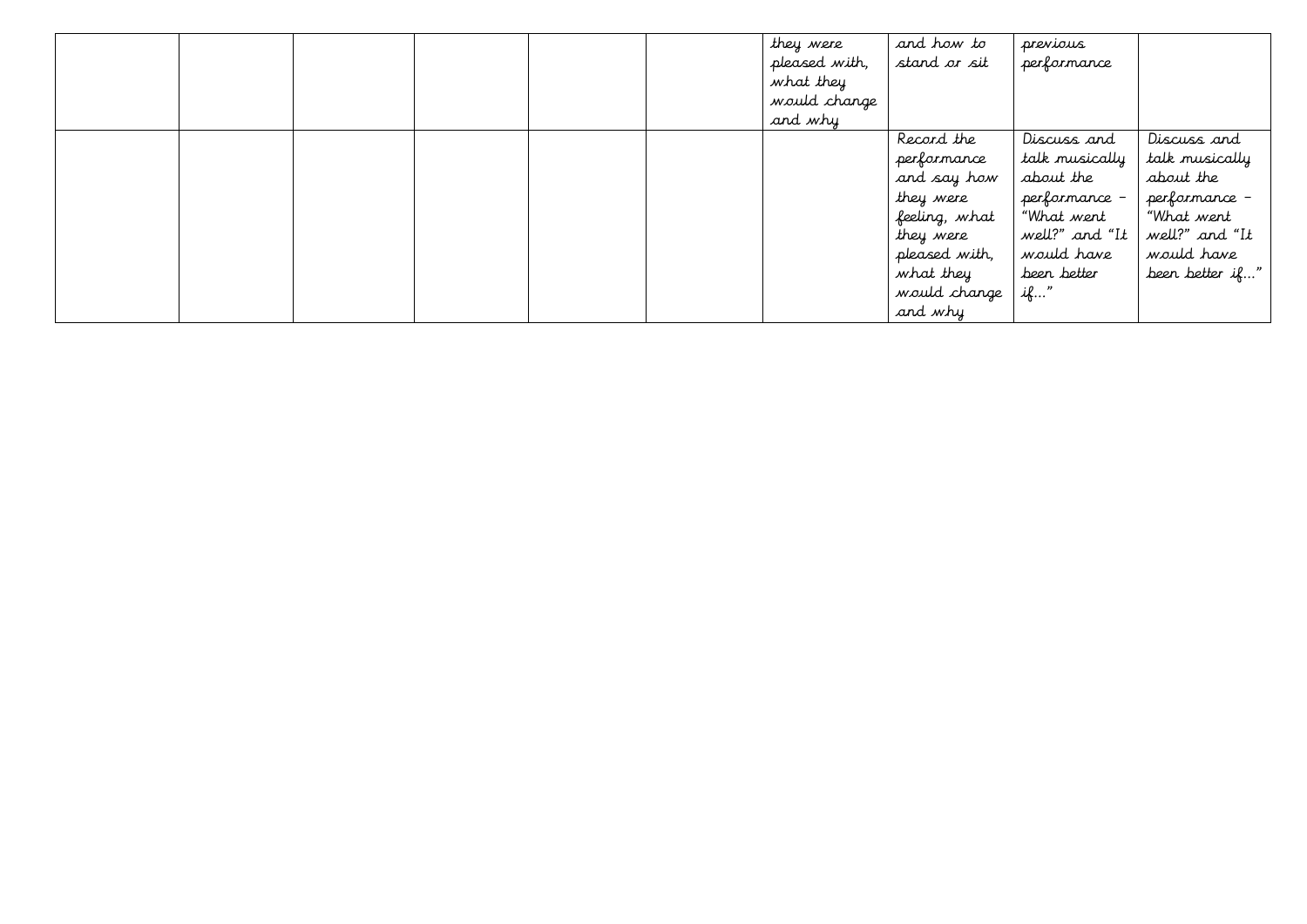|  |  |  | they were     | and how to    | previous       |                 |
|--|--|--|---------------|---------------|----------------|-----------------|
|  |  |  | pleased with, | stand or sit  | performance    |                 |
|  |  |  | what they     |               |                |                 |
|  |  |  | would change  |               |                |                 |
|  |  |  | and why       |               |                |                 |
|  |  |  |               | Record the    | Discuss and    | Discuss and     |
|  |  |  |               | performance   | talk musically | talk musically  |
|  |  |  |               | and say how   | about the      | about the       |
|  |  |  |               | they were     | performance –  | performance -   |
|  |  |  |               | feeling, what | "What went     | "What went      |
|  |  |  |               | they were     | well?" and "It | well?" and "It  |
|  |  |  |               | pleased with, | would have     | would have      |
|  |  |  |               | what they     | been better    | been better if" |
|  |  |  |               | would change  | if"            |                 |
|  |  |  |               | and why       |                |                 |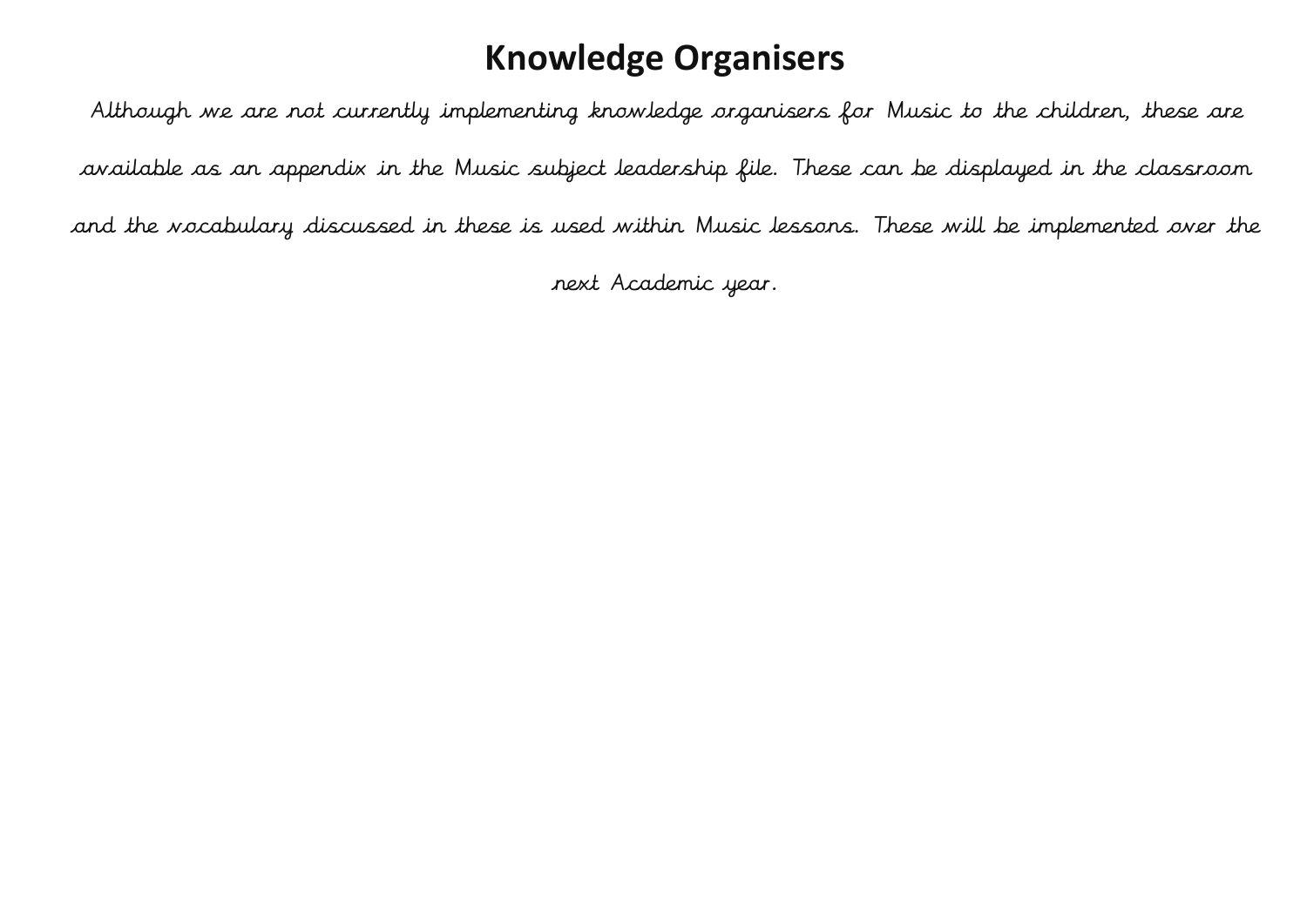#### **Knowledge Organisers**

Although we are not currently implementing knowledge organisers for Music to the children, these are available as an appendix in the Music subject leadership file. These can be displayed in the classroom and the vocabulary discussed in these is used within Music lessons. These will be implemented over the

next Academic year.